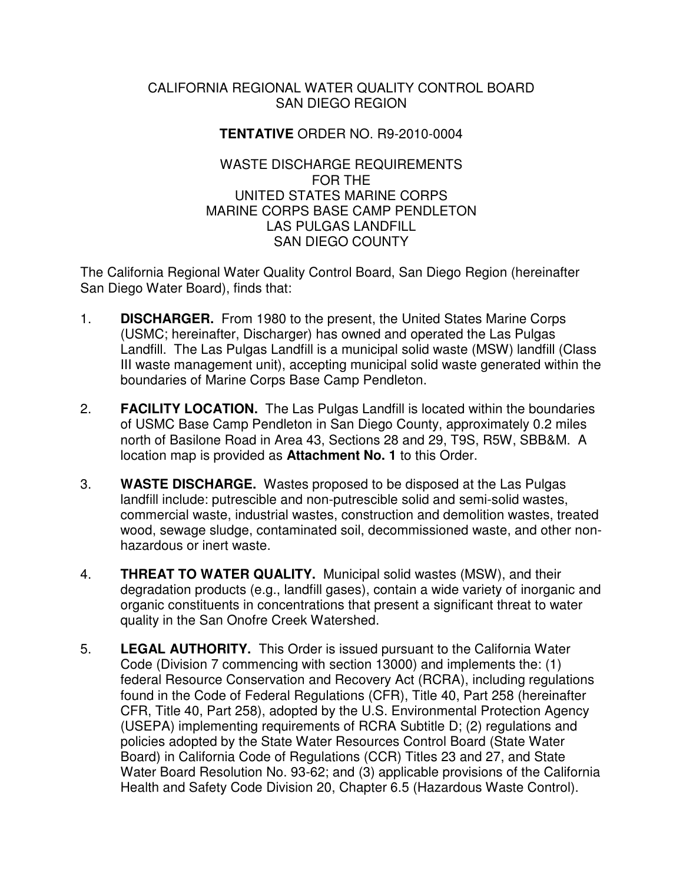#### CALIFORNIA REGIONAL WATER QUALITY CONTROL BOARD SAN DIEGO REGION

## **TENTATIVE** ORDER NO. R9-2010-0004

#### WASTE DISCHARGE REQUIREMENTS FOR THE UNITED STATES MARINE CORPS MARINE CORPS BASE CAMP PENDLETON LAS PULGAS LANDFILL SAN DIEGO COUNTY

The California Regional Water Quality Control Board, San Diego Region (hereinafter San Diego Water Board), finds that:

- 1. **DISCHARGER.** From 1980 to the present, the United States Marine Corps (USMC; hereinafter, Discharger) has owned and operated the Las Pulgas Landfill. The Las Pulgas Landfill is a municipal solid waste (MSW) landfill (Class III waste management unit), accepting municipal solid waste generated within the boundaries of Marine Corps Base Camp Pendleton.
- 2. **FACILITY LOCATION.** The Las Pulgas Landfill is located within the boundaries of USMC Base Camp Pendleton in San Diego County, approximately 0.2 miles north of Basilone Road in Area 43, Sections 28 and 29, T9S, R5W, SBB&M. A location map is provided as **Attachment No. 1** to this Order.
- 3. **WASTE DISCHARGE.** Wastes proposed to be disposed at the Las Pulgas landfill include: putrescible and non-putrescible solid and semi-solid wastes, commercial waste, industrial wastes, construction and demolition wastes, treated wood, sewage sludge, contaminated soil, decommissioned waste, and other nonhazardous or inert waste.
- 4. **THREAT TO WATER QUALITY.** Municipal solid wastes (MSW), and their degradation products (e.g., landfill gases), contain a wide variety of inorganic and organic constituents in concentrations that present a significant threat to water quality in the San Onofre Creek Watershed.
- 5. **LEGAL AUTHORITY.** This Order is issued pursuant to the California Water Code (Division 7 commencing with section 13000) and implements the: (1) federal Resource Conservation and Recovery Act (RCRA), including regulations found in the Code of Federal Regulations (CFR), Title 40, Part 258 (hereinafter CFR, Title 40, Part 258), adopted by the U.S. Environmental Protection Agency (USEPA) implementing requirements of RCRA Subtitle D; (2) regulations and policies adopted by the State Water Resources Control Board (State Water Board) in California Code of Regulations (CCR) Titles 23 and 27, and State Water Board Resolution No. 93-62; and (3) applicable provisions of the California Health and Safety Code Division 20, Chapter 6.5 (Hazardous Waste Control).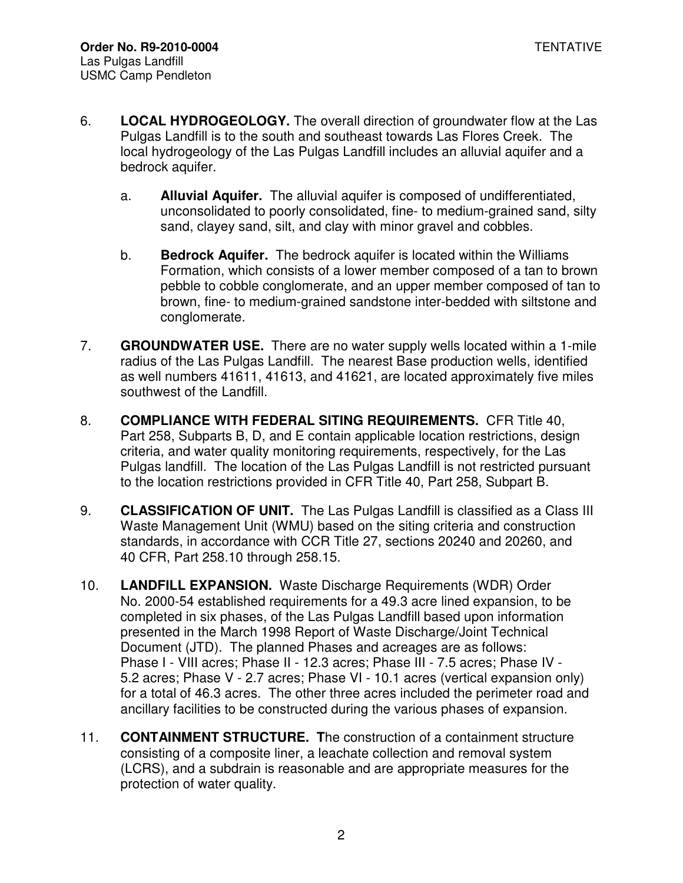- 6. **LOCAL HYDROGEOLOGY.** The overall direction of groundwater flow at the Las Pulgas Landfill is to the south and southeast towards Las Flores Creek. The local hydrogeology of the Las Pulgas Landfill includes an alluvial aquifer and a bedrock aquifer.
	- a. **Alluvial Aquifer.** The alluvial aquifer is composed of undifferentiated, unconsolidated to poorly consolidated, fine- to medium-grained sand, silty sand, clayey sand, silt, and clay with minor gravel and cobbles.
	- b. **Bedrock Aquifer.** The bedrock aquifer is located within the Williams Formation, which consists of a lower member composed of a tan to brown pebble to cobble conglomerate, and an upper member composed of tan to brown, fine- to medium-grained sandstone inter-bedded with siltstone and conglomerate.
- 7. **GROUNDWATER USE.** There are no water supply wells located within a 1-mile radius of the Las Pulgas Landfill. The nearest Base production wells, identified as well numbers 41611, 41613, and 41621, are located approximately five miles southwest of the Landfill.
- 8. **COMPLIANCE WITH FEDERAL SITING REQUIREMENTS.** CFR Title 40, Part 258, Subparts B, D, and E contain applicable location restrictions, design criteria, and water quality monitoring requirements, respectively, for the Las Pulgas landfill. The location of the Las Pulgas Landfill is not restricted pursuant to the location restrictions provided in CFR Title 40, Part 258, Subpart B.
- 9. **CLASSIFICATION OF UNIT.** The Las Pulgas Landfill is classified as a Class III Waste Management Unit (WMU) based on the siting criteria and construction standards, in accordance with CCR Title 27, sections 20240 and 20260, and 40 CFR, Part 258.10 through 258.15.
- 10. **LANDFILL EXPANSION.** Waste Discharge Requirements (WDR) Order No. 2000-54 established requirements for a 49.3 acre lined expansion, to be completed in six phases, of the Las Pulgas Landfill based upon information presented in the March 1998 Report of Waste Discharge/Joint Technical Document (JTD). The planned Phases and acreages are as follows: Phase I - VIII acres; Phase II - 12.3 acres; Phase III - 7.5 acres; Phase IV - 5.2 acres; Phase V - 2.7 acres; Phase VI - 10.1 acres (vertical expansion only) for a total of 46.3 acres. The other three acres included the perimeter road and ancillary facilities to be constructed during the various phases of expansion.
- 11. **CONTAINMENT STRUCTURE. T**he construction of a containment structure consisting of a composite liner, a leachate collection and removal system (LCRS), and a subdrain is reasonable and are appropriate measures for the protection of water quality.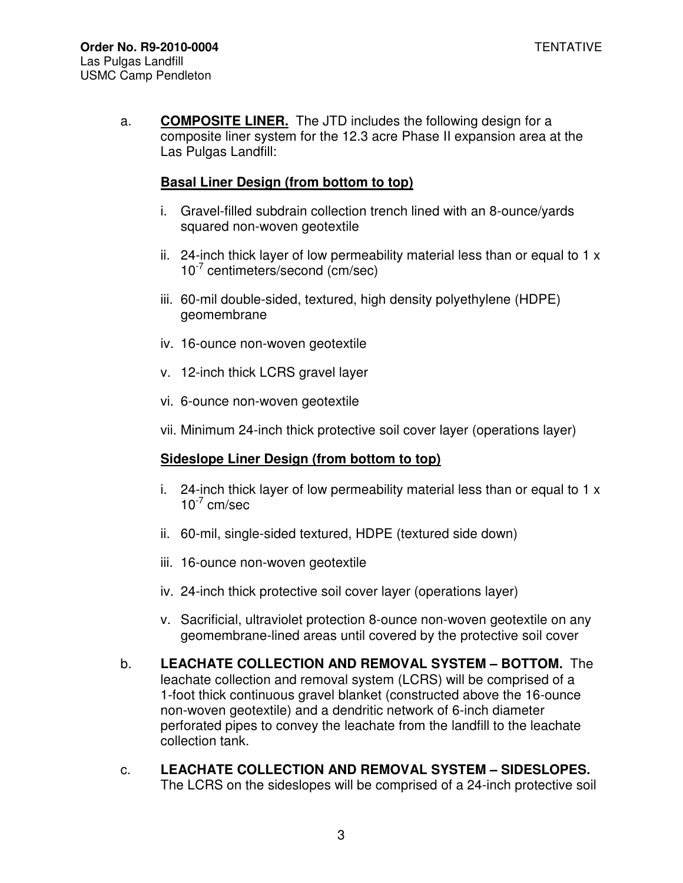a. **COMPOSITE LINER.** The JTD includes the following design for a composite liner system for the 12.3 acre Phase II expansion area at the Las Pulgas Landfill:

## **Basal Liner Design (from bottom to top)**

- i. Gravel-filled subdrain collection trench lined with an 8-ounce/yards squared non-woven geotextile
- ii. 24-inch thick layer of low permeability material less than or equal to  $1 \times$ 10-7 centimeters/second (cm/sec)
- iii. 60-mil double-sided, textured, high density polyethylene (HDPE) geomembrane
- iv. 16-ounce non-woven geotextile
- v. 12-inch thick LCRS gravel layer
- vi. 6-ounce non-woven geotextile
- vii. Minimum 24-inch thick protective soil cover layer (operations layer)

## **Sideslope Liner Design (from bottom to top)**

- i. 24-inch thick layer of low permeability material less than or equal to  $1 \times$  $10^{-7}$  cm/sec
- ii. 60-mil, single-sided textured, HDPE (textured side down)
- iii. 16-ounce non-woven geotextile
- iv. 24-inch thick protective soil cover layer (operations layer)
- v. Sacrificial, ultraviolet protection 8-ounce non-woven geotextile on any geomembrane-lined areas until covered by the protective soil cover
- b. **LEACHATE COLLECTION AND REMOVAL SYSTEM BOTTOM.** The leachate collection and removal system (LCRS) will be comprised of a 1-foot thick continuous gravel blanket (constructed above the 16-ounce non-woven geotextile) and a dendritic network of 6-inch diameter perforated pipes to convey the leachate from the landfill to the leachate collection tank.
- c. **LEACHATE COLLECTION AND REMOVAL SYSTEM SIDESLOPES.**  The LCRS on the sideslopes will be comprised of a 24-inch protective soil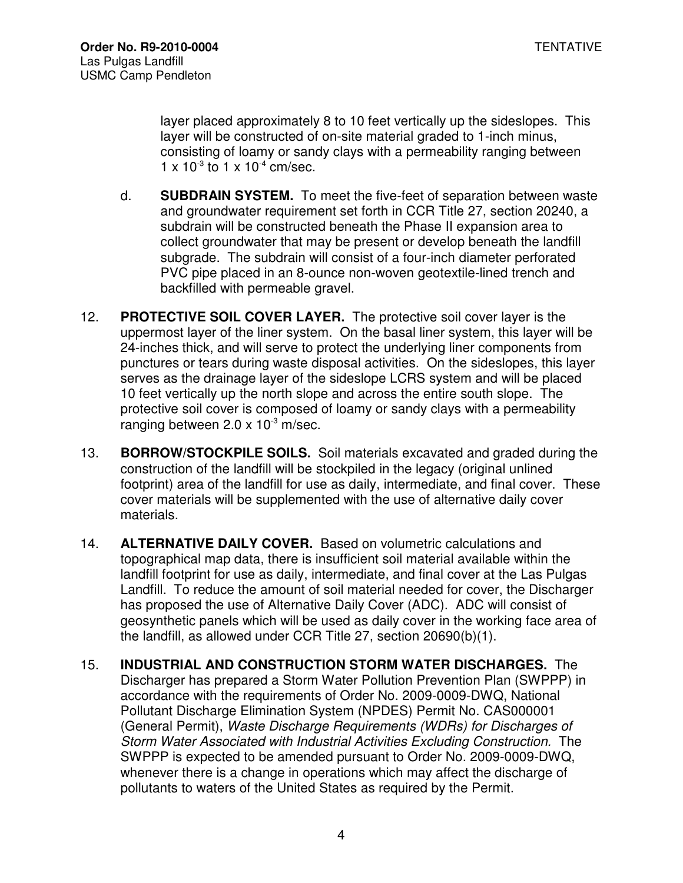layer placed approximately 8 to 10 feet vertically up the sideslopes. This layer will be constructed of on-site material graded to 1-inch minus, consisting of loamy or sandy clays with a permeability ranging between  $1 \times 10^{-3}$  to  $1 \times 10^{-4}$  cm/sec.

- d. **SUBDRAIN SYSTEM.** To meet the five-feet of separation between waste and groundwater requirement set forth in CCR Title 27, section 20240, a subdrain will be constructed beneath the Phase II expansion area to collect groundwater that may be present or develop beneath the landfill subgrade. The subdrain will consist of a four-inch diameter perforated PVC pipe placed in an 8-ounce non-woven geotextile-lined trench and backfilled with permeable gravel.
- 12. **PROTECTIVE SOIL COVER LAYER.** The protective soil cover layer is the uppermost layer of the liner system. On the basal liner system, this layer will be 24-inches thick, and will serve to protect the underlying liner components from punctures or tears during waste disposal activities. On the sideslopes, this layer serves as the drainage layer of the sideslope LCRS system and will be placed 10 feet vertically up the north slope and across the entire south slope. The protective soil cover is composed of loamy or sandy clays with a permeability ranging between  $2.0 \times 10^{-3}$  m/sec.
- 13. **BORROW/STOCKPILE SOILS.** Soil materials excavated and graded during the construction of the landfill will be stockpiled in the legacy (original unlined footprint) area of the landfill for use as daily, intermediate, and final cover. These cover materials will be supplemented with the use of alternative daily cover materials.
- 14. **ALTERNATIVE DAILY COVER.** Based on volumetric calculations and topographical map data, there is insufficient soil material available within the landfill footprint for use as daily, intermediate, and final cover at the Las Pulgas Landfill. To reduce the amount of soil material needed for cover, the Discharger has proposed the use of Alternative Daily Cover (ADC). ADC will consist of geosynthetic panels which will be used as daily cover in the working face area of the landfill, as allowed under CCR Title 27, section 20690(b)(1).
- 15. **INDUSTRIAL AND CONSTRUCTION STORM WATER DISCHARGES.** The Discharger has prepared a Storm Water Pollution Prevention Plan (SWPPP) in accordance with the requirements of Order No. 2009-0009-DWQ, National Pollutant Discharge Elimination System (NPDES) Permit No. CAS000001 (General Permit), Waste Discharge Requirements (WDRs) for Discharges of Storm Water Associated with Industrial Activities Excluding Construction. The SWPPP is expected to be amended pursuant to Order No. 2009-0009-DWQ, whenever there is a change in operations which may affect the discharge of pollutants to waters of the United States as required by the Permit.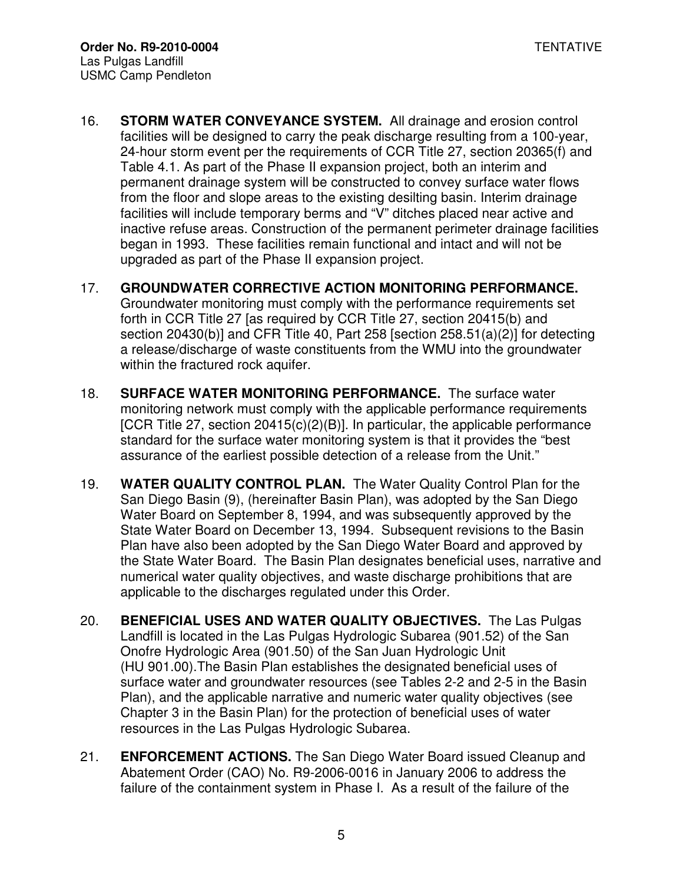- 16. **STORM WATER CONVEYANCE SYSTEM.** All drainage and erosion control facilities will be designed to carry the peak discharge resulting from a 100-year, 24-hour storm event per the requirements of CCR Title 27, section 20365(f) and Table 4.1. As part of the Phase II expansion project, both an interim and permanent drainage system will be constructed to convey surface water flows from the floor and slope areas to the existing desilting basin. Interim drainage facilities will include temporary berms and "V" ditches placed near active and inactive refuse areas. Construction of the permanent perimeter drainage facilities began in 1993. These facilities remain functional and intact and will not be upgraded as part of the Phase II expansion project.
- 17. **GROUNDWATER CORRECTIVE ACTION MONITORING PERFORMANCE.**  Groundwater monitoring must comply with the performance requirements set forth in CCR Title 27 [as required by CCR Title 27, section 20415(b) and section 20430(b)] and CFR Title 40, Part 258 [section 258.51(a)(2)] for detecting a release/discharge of waste constituents from the WMU into the groundwater within the fractured rock aquifer.
- 18. **SURFACE WATER MONITORING PERFORMANCE.** The surface water monitoring network must comply with the applicable performance requirements [CCR Title 27, section 20415(c)(2)(B)]. In particular, the applicable performance standard for the surface water monitoring system is that it provides the "best assurance of the earliest possible detection of a release from the Unit."
- 19. **WATER QUALITY CONTROL PLAN.** The Water Quality Control Plan for the San Diego Basin (9), (hereinafter Basin Plan), was adopted by the San Diego Water Board on September 8, 1994, and was subsequently approved by the State Water Board on December 13, 1994. Subsequent revisions to the Basin Plan have also been adopted by the San Diego Water Board and approved by the State Water Board. The Basin Plan designates beneficial uses, narrative and numerical water quality objectives, and waste discharge prohibitions that are applicable to the discharges regulated under this Order.
- 20. **BENEFICIAL USES AND WATER QUALITY OBJECTIVES.** The Las Pulgas Landfill is located in the Las Pulgas Hydrologic Subarea (901.52) of the San Onofre Hydrologic Area (901.50) of the San Juan Hydrologic Unit (HU 901.00).The Basin Plan establishes the designated beneficial uses of surface water and groundwater resources (see Tables 2-2 and 2-5 in the Basin Plan), and the applicable narrative and numeric water quality objectives (see Chapter 3 in the Basin Plan) for the protection of beneficial uses of water resources in the Las Pulgas Hydrologic Subarea.
- 21. **ENFORCEMENT ACTIONS.** The San Diego Water Board issued Cleanup and Abatement Order (CAO) No. R9-2006-0016 in January 2006 to address the failure of the containment system in Phase I. As a result of the failure of the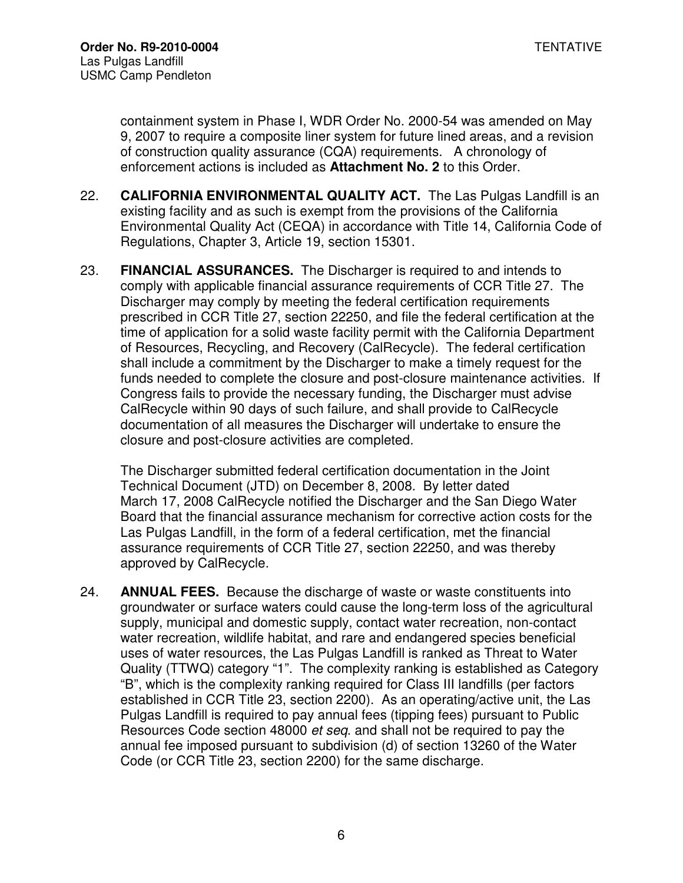containment system in Phase I, WDR Order No. 2000-54 was amended on May 9, 2007 to require a composite liner system for future lined areas, and a revision of construction quality assurance (CQA) requirements. A chronology of enforcement actions is included as **Attachment No. 2** to this Order.

- 22. **CALIFORNIA ENVIRONMENTAL QUALITY ACT.** The Las Pulgas Landfill is an existing facility and as such is exempt from the provisions of the California Environmental Quality Act (CEQA) in accordance with Title 14, California Code of Regulations, Chapter 3, Article 19, section 15301.
- 23. **FINANCIAL ASSURANCES.** The Discharger is required to and intends to comply with applicable financial assurance requirements of CCR Title 27. The Discharger may comply by meeting the federal certification requirements prescribed in CCR Title 27, section 22250, and file the federal certification at the time of application for a solid waste facility permit with the California Department of Resources, Recycling, and Recovery (CalRecycle). The federal certification shall include a commitment by the Discharger to make a timely request for the funds needed to complete the closure and post-closure maintenance activities. If Congress fails to provide the necessary funding, the Discharger must advise CalRecycle within 90 days of such failure, and shall provide to CalRecycle documentation of all measures the Discharger will undertake to ensure the closure and post-closure activities are completed.

The Discharger submitted federal certification documentation in the Joint Technical Document (JTD) on December 8, 2008. By letter dated March 17, 2008 CalRecycle notified the Discharger and the San Diego Water Board that the financial assurance mechanism for corrective action costs for the Las Pulgas Landfill, in the form of a federal certification, met the financial assurance requirements of CCR Title 27, section 22250, and was thereby approved by CalRecycle.

24. **ANNUAL FEES.** Because the discharge of waste or waste constituents into groundwater or surface waters could cause the long-term loss of the agricultural supply, municipal and domestic supply, contact water recreation, non-contact water recreation, wildlife habitat, and rare and endangered species beneficial uses of water resources, the Las Pulgas Landfill is ranked as Threat to Water Quality (TTWQ) category "1". The complexity ranking is established as Category "B", which is the complexity ranking required for Class III landfills (per factors established in CCR Title 23, section 2200). As an operating/active unit, the Las Pulgas Landfill is required to pay annual fees (tipping fees) pursuant to Public Resources Code section 48000 et seq. and shall not be required to pay the annual fee imposed pursuant to subdivision (d) of section 13260 of the Water Code (or CCR Title 23, section 2200) for the same discharge.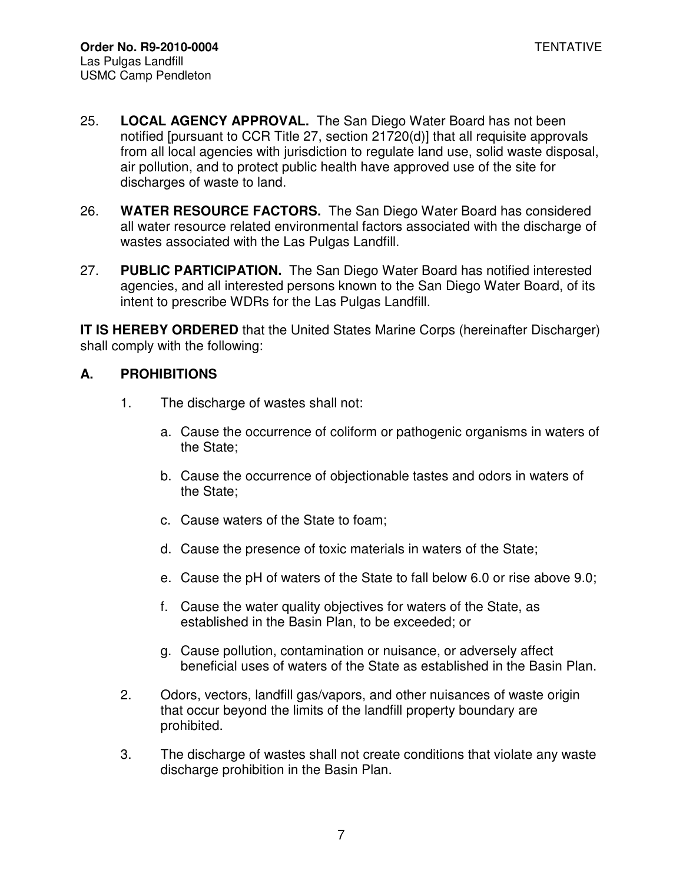- 25. **LOCAL AGENCY APPROVAL.** The San Diego Water Board has not been notified [pursuant to CCR Title 27, section 21720(d)] that all requisite approvals from all local agencies with jurisdiction to regulate land use, solid waste disposal, air pollution, and to protect public health have approved use of the site for discharges of waste to land.
- 26. **WATER RESOURCE FACTORS.** The San Diego Water Board has considered all water resource related environmental factors associated with the discharge of wastes associated with the Las Pulgas Landfill.
- 27. **PUBLIC PARTICIPATION.** The San Diego Water Board has notified interested agencies, and all interested persons known to the San Diego Water Board, of its intent to prescribe WDRs for the Las Pulgas Landfill.

**IT IS HEREBY ORDERED** that the United States Marine Corps (hereinafter Discharger) shall comply with the following:

### **A. PROHIBITIONS**

- 1. The discharge of wastes shall not:
	- a. Cause the occurrence of coliform or pathogenic organisms in waters of the State;
	- b. Cause the occurrence of objectionable tastes and odors in waters of the State;
	- c. Cause waters of the State to foam;
	- d. Cause the presence of toxic materials in waters of the State;
	- e. Cause the pH of waters of the State to fall below 6.0 or rise above 9.0;
	- f. Cause the water quality objectives for waters of the State, as established in the Basin Plan, to be exceeded; or
	- g. Cause pollution, contamination or nuisance, or adversely affect beneficial uses of waters of the State as established in the Basin Plan.
- 2. Odors, vectors, landfill gas/vapors, and other nuisances of waste origin that occur beyond the limits of the landfill property boundary are prohibited.
- 3. The discharge of wastes shall not create conditions that violate any waste discharge prohibition in the Basin Plan.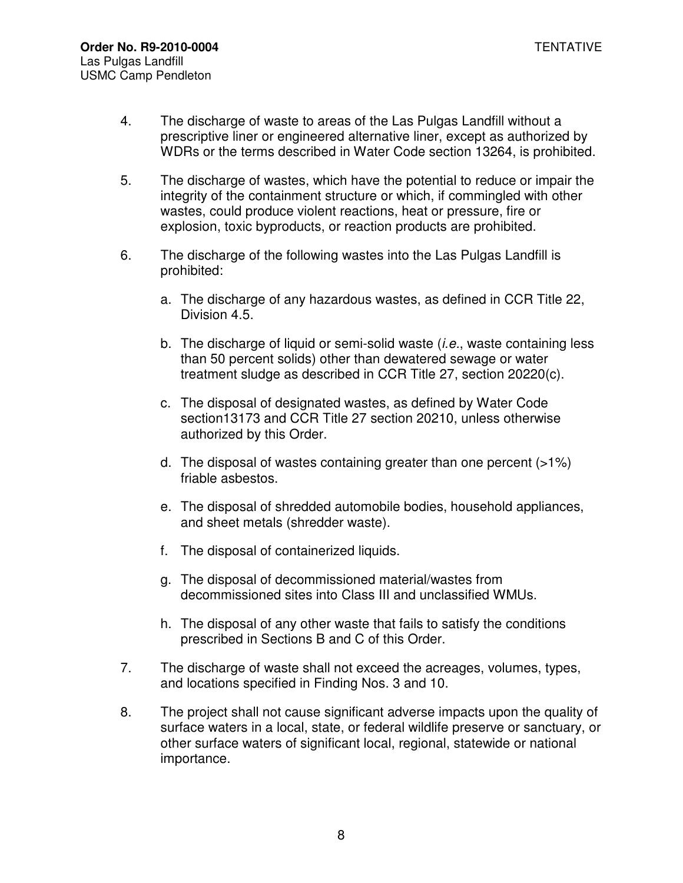- 4. The discharge of waste to areas of the Las Pulgas Landfill without a prescriptive liner or engineered alternative liner, except as authorized by WDRs or the terms described in Water Code section 13264, is prohibited.
- 5. The discharge of wastes, which have the potential to reduce or impair the integrity of the containment structure or which, if commingled with other wastes, could produce violent reactions, heat or pressure, fire or explosion, toxic byproducts, or reaction products are prohibited.
- 6. The discharge of the following wastes into the Las Pulgas Landfill is prohibited:
	- a. The discharge of any hazardous wastes, as defined in CCR Title 22, Division 4.5.
	- b. The discharge of liquid or semi-solid waste (*i.e.*, waste containing less than 50 percent solids) other than dewatered sewage or water treatment sludge as described in CCR Title 27, section 20220(c).
	- c. The disposal of designated wastes, as defined by Water Code section13173 and CCR Title 27 section 20210, unless otherwise authorized by this Order.
	- d. The disposal of wastes containing greater than one percent (>1%) friable asbestos.
	- e. The disposal of shredded automobile bodies, household appliances, and sheet metals (shredder waste).
	- f. The disposal of containerized liquids.
	- g. The disposal of decommissioned material/wastes from decommissioned sites into Class III and unclassified WMUs.
	- h. The disposal of any other waste that fails to satisfy the conditions prescribed in Sections B and C of this Order.
- 7. The discharge of waste shall not exceed the acreages, volumes, types, and locations specified in Finding Nos. 3 and 10.
- 8. The project shall not cause significant adverse impacts upon the quality of surface waters in a local, state, or federal wildlife preserve or sanctuary, or other surface waters of significant local, regional, statewide or national importance.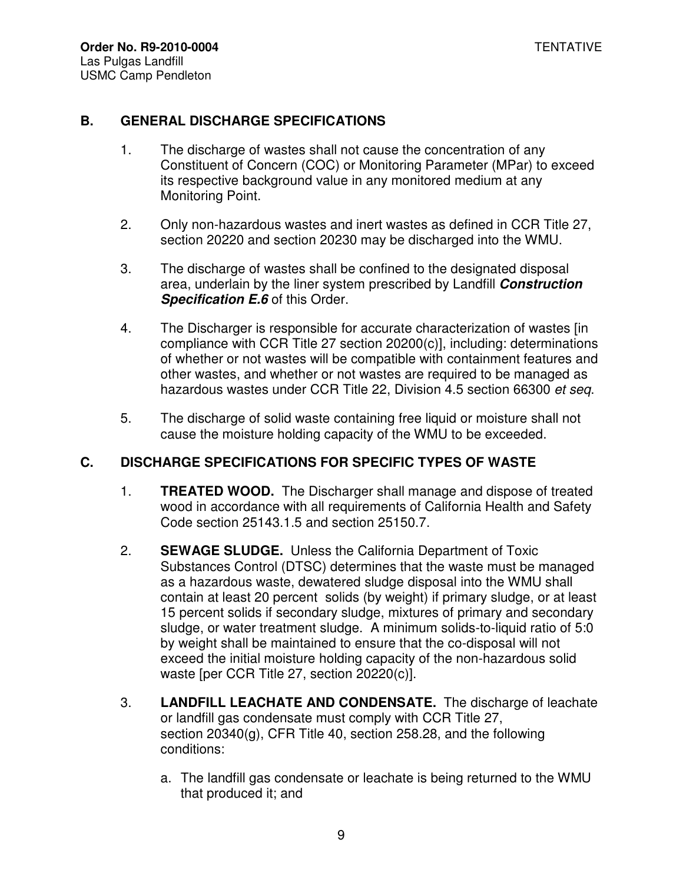### **B. GENERAL DISCHARGE SPECIFICATIONS**

- 1. The discharge of wastes shall not cause the concentration of any Constituent of Concern (COC) or Monitoring Parameter (MPar) to exceed its respective background value in any monitored medium at any Monitoring Point.
- 2. Only non-hazardous wastes and inert wastes as defined in CCR Title 27, section 20220 and section 20230 may be discharged into the WMU.
- 3. The discharge of wastes shall be confined to the designated disposal area, underlain by the liner system prescribed by Landfill **Construction Specification E.6** of this Order.
- 4. The Discharger is responsible for accurate characterization of wastes [in compliance with CCR Title 27 section 20200(c)], including: determinations of whether or not wastes will be compatible with containment features and other wastes, and whether or not wastes are required to be managed as hazardous wastes under CCR Title 22, Division 4.5 section 66300 et seq.
- 5. The discharge of solid waste containing free liquid or moisture shall not cause the moisture holding capacity of the WMU to be exceeded.

## **C. DISCHARGE SPECIFICATIONS FOR SPECIFIC TYPES OF WASTE**

- 1. **TREATED WOOD.** The Discharger shall manage and dispose of treated wood in accordance with all requirements of California Health and Safety Code section 25143.1.5 and section 25150.7.
- 2. **SEWAGE SLUDGE.** Unless the California Department of Toxic Substances Control (DTSC) determines that the waste must be managed as a hazardous waste, dewatered sludge disposal into the WMU shall contain at least 20 percent solids (by weight) if primary sludge, or at least 15 percent solids if secondary sludge, mixtures of primary and secondary sludge, or water treatment sludge. A minimum solids-to-liquid ratio of 5:0 by weight shall be maintained to ensure that the co-disposal will not exceed the initial moisture holding capacity of the non-hazardous solid waste [per CCR Title 27, section 20220(c)].
- 3. **LANDFILL LEACHATE AND CONDENSATE.** The discharge of leachate or landfill gas condensate must comply with CCR Title 27, section 20340(g), CFR Title 40, section 258.28, and the following conditions:
	- a. The landfill gas condensate or leachate is being returned to the WMU that produced it; and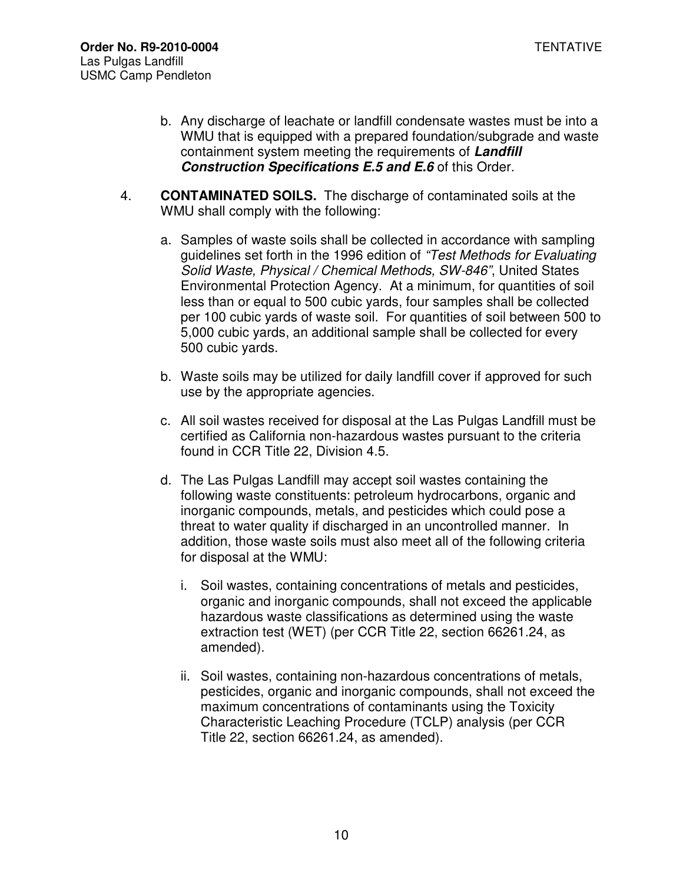- b. Any discharge of leachate or landfill condensate wastes must be into a WMU that is equipped with a prepared foundation/subgrade and waste containment system meeting the requirements of **Landfill Construction Specifications E.5 and E.6** of this Order.
- 4. **CONTAMINATED SOILS.** The discharge of contaminated soils at the WMU shall comply with the following:
	- a. Samples of waste soils shall be collected in accordance with sampling guidelines set forth in the 1996 edition of "Test Methods for Evaluating Solid Waste, Physical / Chemical Methods, SW-846", United States Environmental Protection Agency. At a minimum, for quantities of soil less than or equal to 500 cubic yards, four samples shall be collected per 100 cubic yards of waste soil. For quantities of soil between 500 to 5,000 cubic yards, an additional sample shall be collected for every 500 cubic yards.
	- b. Waste soils may be utilized for daily landfill cover if approved for such use by the appropriate agencies.
	- c. All soil wastes received for disposal at the Las Pulgas Landfill must be certified as California non-hazardous wastes pursuant to the criteria found in CCR Title 22, Division 4.5.
	- d. The Las Pulgas Landfill may accept soil wastes containing the following waste constituents: petroleum hydrocarbons, organic and inorganic compounds, metals, and pesticides which could pose a threat to water quality if discharged in an uncontrolled manner. In addition, those waste soils must also meet all of the following criteria for disposal at the WMU:
		- i. Soil wastes, containing concentrations of metals and pesticides, organic and inorganic compounds, shall not exceed the applicable hazardous waste classifications as determined using the waste extraction test (WET) (per CCR Title 22, section 66261.24, as amended).
		- ii. Soil wastes, containing non-hazardous concentrations of metals, pesticides, organic and inorganic compounds, shall not exceed the maximum concentrations of contaminants using the Toxicity Characteristic Leaching Procedure (TCLP) analysis (per CCR Title 22, section 66261.24, as amended).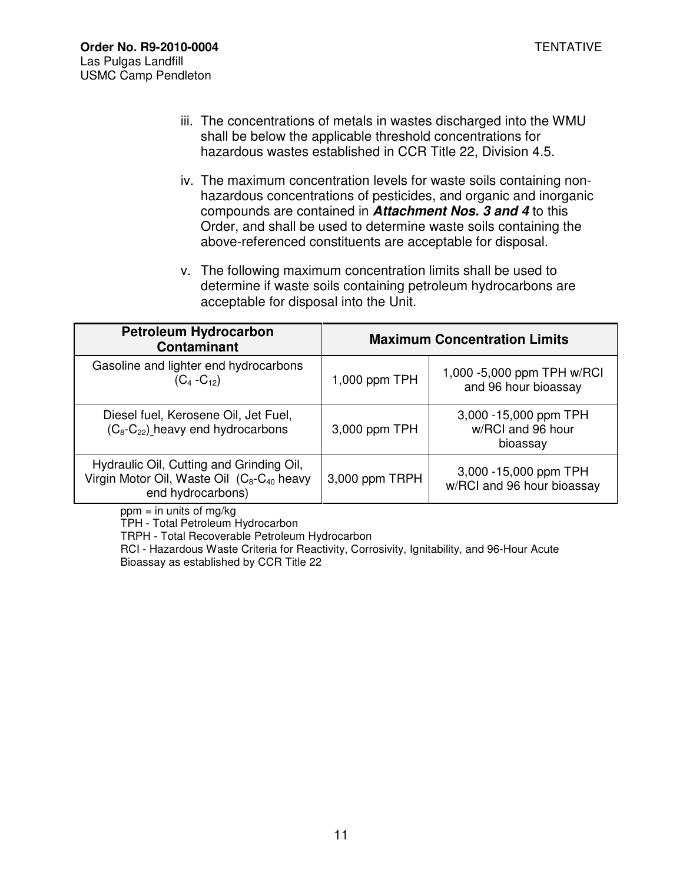- iii. The concentrations of metals in wastes discharged into the WMU shall be below the applicable threshold concentrations for hazardous wastes established in CCR Title 22, Division 4.5.
- iv. The maximum concentration levels for waste soils containing nonhazardous concentrations of pesticides, and organic and inorganic compounds are contained in **Attachment Nos. 3 and 4** to this Order, and shall be used to determine waste soils containing the above-referenced constituents are acceptable for disposal.
- v. The following maximum concentration limits shall be used to determine if waste soils containing petroleum hydrocarbons are acceptable for disposal into the Unit.

| <b>Petroleum Hydrocarbon</b><br><b>Contaminant</b>                                                               | <b>Maximum Concentration Limits</b> |                                                        |  |
|------------------------------------------------------------------------------------------------------------------|-------------------------------------|--------------------------------------------------------|--|
| Gasoline and lighter end hydrocarbons<br>$(C_4 - C_{12})$                                                        | 1,000 ppm TPH                       | 1,000 - 5,000 ppm TPH w/RCI<br>and 96 hour bioassay    |  |
| Diesel fuel, Kerosene Oil, Jet Fuel,<br>$(C_8-C_{22})$ heavy end hydrocarbons                                    | 3,000 ppm TPH                       | 3,000 -15,000 ppm TPH<br>w/RCI and 96 hour<br>bioassay |  |
| Hydraulic Oil, Cutting and Grinding Oil,<br>Virgin Motor Oil, Waste Oil $(C_8-C_{40}$ heavy<br>end hydrocarbons) | 3,000 ppm TRPH                      | 3,000 - 15,000 ppm TPH<br>w/RCI and 96 hour bioassay   |  |

 $ppm = in$  units of mg/kg

TPH - Total Petroleum Hydrocarbon

TRPH - Total Recoverable Petroleum Hydrocarbon

RCI - Hazardous Waste Criteria for Reactivity, Corrosivity, Ignitability, and 96-Hour Acute Bioassay as established by CCR Title 22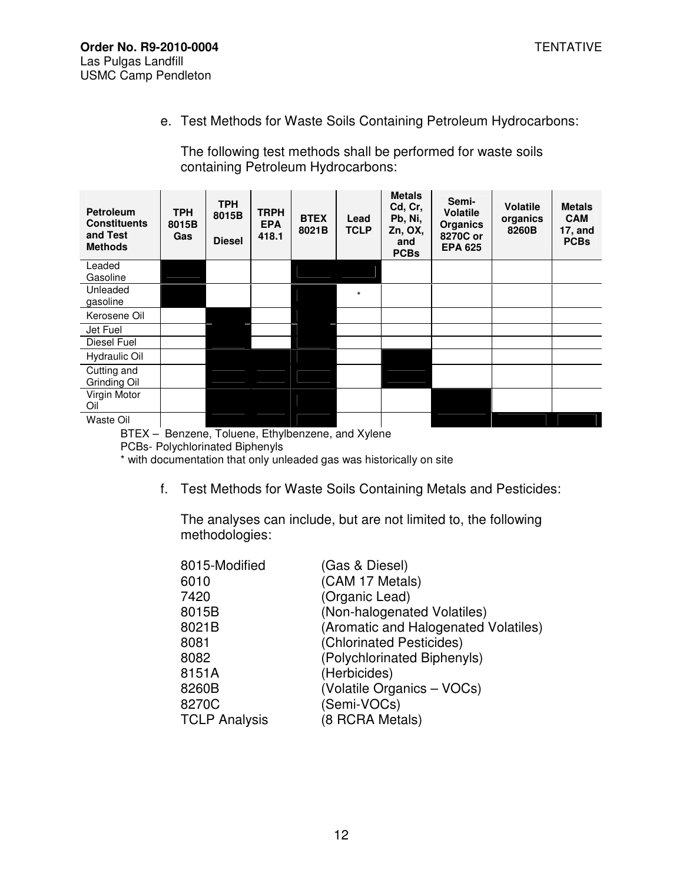e. Test Methods for Waste Soils Containing Petroleum Hydrocarbons:

The following test methods shall be performed for waste soils containing Petroleum Hydrocarbons:

| <b>Petroleum</b><br><b>Constituents</b><br>and Test<br><b>Methods</b> | <b>TPH</b><br>8015B<br>Gas | <b>TPH</b><br>8015B<br><b>Diesel</b>    | <b>TRPH</b><br><b>EPA</b><br>418.1 | <b>BTEX</b><br>8021B | Lead<br>TCLP | <b>Metals</b><br>Cd, Cr,<br>Pb, Ni,<br>Zn, OX,<br>and<br><b>PCBs</b> | Semi-<br><b>Volatile</b><br><b>Organics</b><br>8270C or<br><b>EPA 625</b> | <b>Volatile</b><br>organics<br>8260B | <b>Metals</b><br><b>CAM</b><br>17, and<br><b>PCBs</b> |
|-----------------------------------------------------------------------|----------------------------|-----------------------------------------|------------------------------------|----------------------|--------------|----------------------------------------------------------------------|---------------------------------------------------------------------------|--------------------------------------|-------------------------------------------------------|
| Leaded<br>Gasoline                                                    |                            |                                         |                                    |                      |              |                                                                      |                                                                           |                                      |                                                       |
| Unleaded<br>gasoline                                                  |                            |                                         |                                    |                      | $^{\star}$   |                                                                      |                                                                           |                                      |                                                       |
| Kerosene Oil                                                          |                            |                                         |                                    |                      |              |                                                                      |                                                                           |                                      |                                                       |
| Jet Fuel                                                              |                            |                                         |                                    |                      |              |                                                                      |                                                                           |                                      |                                                       |
| Diesel Fuel                                                           |                            |                                         |                                    |                      |              |                                                                      |                                                                           |                                      |                                                       |
| Hydraulic Oil                                                         |                            |                                         |                                    |                      |              |                                                                      |                                                                           |                                      |                                                       |
| Cutting and<br>Grinding Oil                                           |                            |                                         |                                    |                      |              |                                                                      |                                                                           |                                      |                                                       |
| Virgin Motor<br>Oil                                                   |                            |                                         |                                    |                      |              |                                                                      |                                                                           |                                      |                                                       |
| Waste Oil                                                             |                            |                                         |                                    |                      |              |                                                                      |                                                                           |                                      |                                                       |
| DTEV                                                                  |                            | Benzone Teluene Ethylbenzene and Vulcas |                                    |                      |              |                                                                      |                                                                           |                                      |                                                       |

BTEX – Benzene, Toluene, Ethylbenzene, and Xylene

\* with documentation that only unleaded gas was historically on site

f. Test Methods for Waste Soils Containing Metals and Pesticides:

The analyses can include, but are not limited to, the following methodologies:

| 8015-Modified        | (Gas & Diesel)                       |
|----------------------|--------------------------------------|
| 6010                 | (CAM 17 Metals)                      |
| 7420                 | (Organic Lead)                       |
| 8015B                | (Non-halogenated Volatiles)          |
| 8021B                | (Aromatic and Halogenated Volatiles) |
| 8081                 | (Chlorinated Pesticides)             |
| 8082                 | (Polychlorinated Biphenyls)          |
| 8151A                | (Herbicides)                         |
| 8260B                | (Volatile Organics - VOCs)           |
| 8270C                | (Semi-VOCs)                          |
| <b>TCLP Analysis</b> | (8 RCRA Metals)                      |

PCBs- Polychlorinated Biphenyls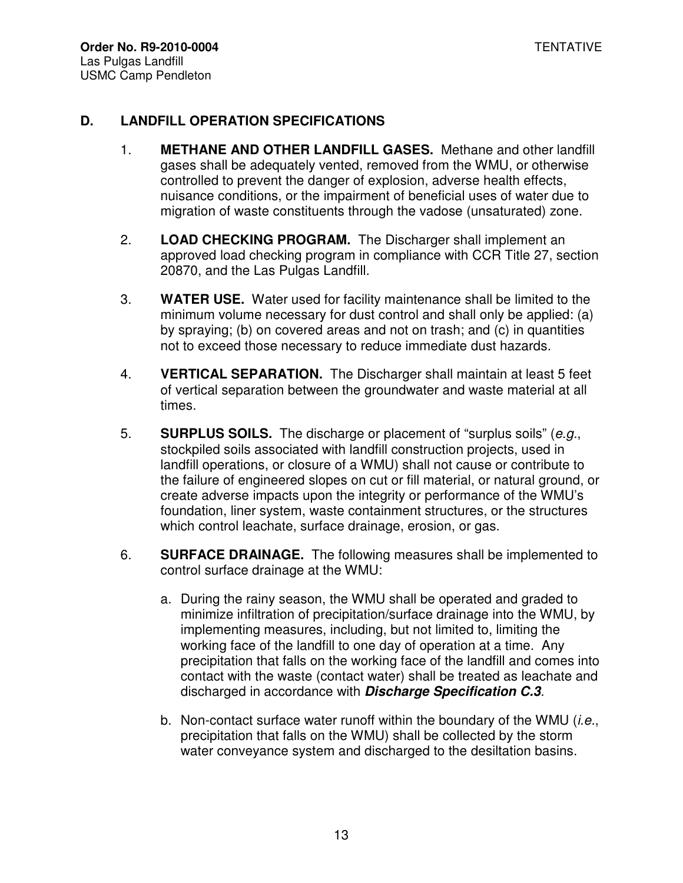#### **D. LANDFILL OPERATION SPECIFICATIONS**

- 1. **METHANE AND OTHER LANDFILL GASES.** Methane and other landfill gases shall be adequately vented, removed from the WMU, or otherwise controlled to prevent the danger of explosion, adverse health effects, nuisance conditions, or the impairment of beneficial uses of water due to migration of waste constituents through the vadose (unsaturated) zone.
- 2. **LOAD CHECKING PROGRAM.** The Discharger shall implement an approved load checking program in compliance with CCR Title 27, section 20870, and the Las Pulgas Landfill.
- 3. **WATER USE.** Water used for facility maintenance shall be limited to the minimum volume necessary for dust control and shall only be applied: (a) by spraying; (b) on covered areas and not on trash; and (c) in quantities not to exceed those necessary to reduce immediate dust hazards.
- 4. **VERTICAL SEPARATION.** The Discharger shall maintain at least 5 feet of vertical separation between the groundwater and waste material at all times.
- 5. **SURPLUS SOILS.** The discharge or placement of "surplus soils" (e.g., stockpiled soils associated with landfill construction projects, used in landfill operations, or closure of a WMU) shall not cause or contribute to the failure of engineered slopes on cut or fill material, or natural ground, or create adverse impacts upon the integrity or performance of the WMU's foundation, liner system, waste containment structures, or the structures which control leachate, surface drainage, erosion, or gas.
- 6. **SURFACE DRAINAGE.** The following measures shall be implemented to control surface drainage at the WMU:
	- a. During the rainy season, the WMU shall be operated and graded to minimize infiltration of precipitation/surface drainage into the WMU, by implementing measures, including, but not limited to, limiting the working face of the landfill to one day of operation at a time. Any precipitation that falls on the working face of the landfill and comes into contact with the waste (contact water) shall be treated as leachate and discharged in accordance with **Discharge Specification C.3**.
	- b. Non-contact surface water runoff within the boundary of the WMU (i.e., precipitation that falls on the WMU) shall be collected by the storm water conveyance system and discharged to the desiltation basins.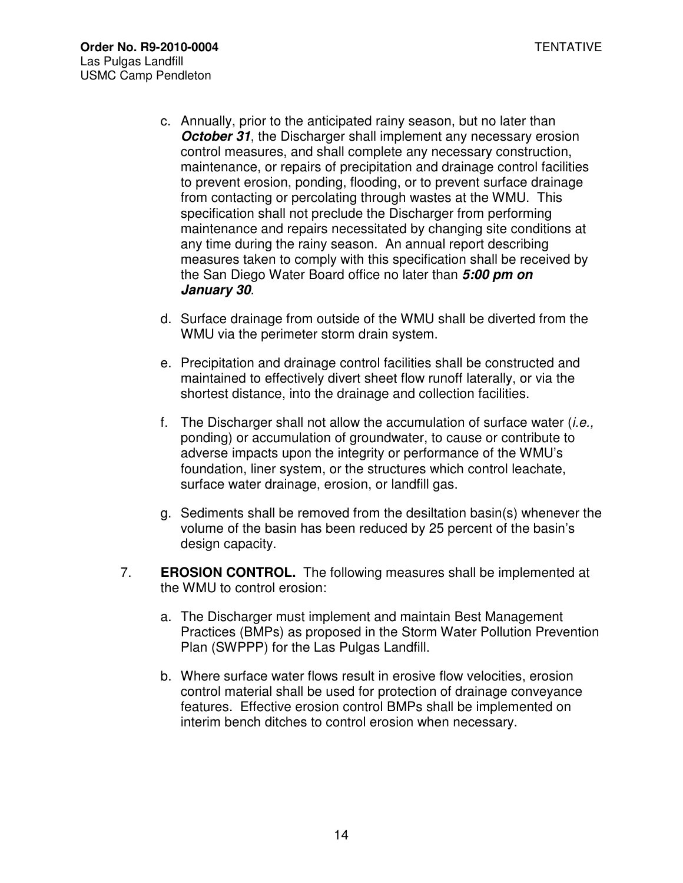- c. Annually, prior to the anticipated rainy season, but no later than **October 31**, the Discharger shall implement any necessary erosion control measures, and shall complete any necessary construction, maintenance, or repairs of precipitation and drainage control facilities to prevent erosion, ponding, flooding, or to prevent surface drainage from contacting or percolating through wastes at the WMU. This specification shall not preclude the Discharger from performing maintenance and repairs necessitated by changing site conditions at any time during the rainy season. An annual report describing measures taken to comply with this specification shall be received by the San Diego Water Board office no later than **5:00 pm on January 30**.
- d. Surface drainage from outside of the WMU shall be diverted from the WMU via the perimeter storm drain system.
- e. Precipitation and drainage control facilities shall be constructed and maintained to effectively divert sheet flow runoff laterally, or via the shortest distance, into the drainage and collection facilities.
- f. The Discharger shall not allow the accumulation of surface water  $(i.e.,$ ponding) or accumulation of groundwater, to cause or contribute to adverse impacts upon the integrity or performance of the WMU's foundation, liner system, or the structures which control leachate, surface water drainage, erosion, or landfill gas.
- g. Sediments shall be removed from the desiltation basin(s) whenever the volume of the basin has been reduced by 25 percent of the basin's design capacity.
- 7. **EROSION CONTROL.** The following measures shall be implemented at the WMU to control erosion:
	- a. The Discharger must implement and maintain Best Management Practices (BMPs) as proposed in the Storm Water Pollution Prevention Plan (SWPPP) for the Las Pulgas Landfill.
	- b. Where surface water flows result in erosive flow velocities, erosion control material shall be used for protection of drainage conveyance features. Effective erosion control BMPs shall be implemented on interim bench ditches to control erosion when necessary.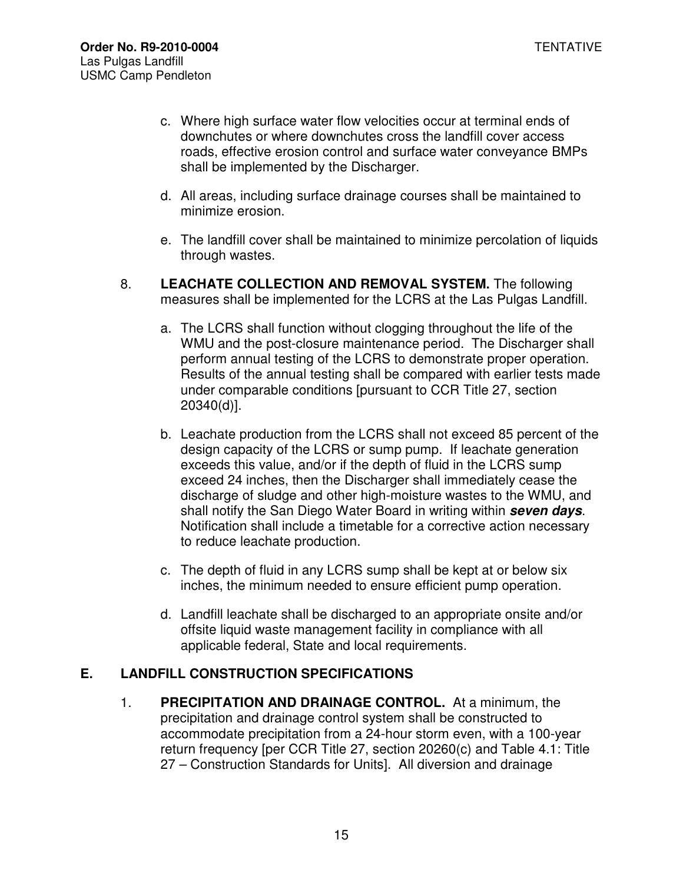- c. Where high surface water flow velocities occur at terminal ends of downchutes or where downchutes cross the landfill cover access roads, effective erosion control and surface water conveyance BMPs shall be implemented by the Discharger.
- d. All areas, including surface drainage courses shall be maintained to minimize erosion.
- e. The landfill cover shall be maintained to minimize percolation of liquids through wastes.
- 8. **LEACHATE COLLECTION AND REMOVAL SYSTEM.** The following measures shall be implemented for the LCRS at the Las Pulgas Landfill.
	- a. The LCRS shall function without clogging throughout the life of the WMU and the post-closure maintenance period. The Discharger shall perform annual testing of the LCRS to demonstrate proper operation. Results of the annual testing shall be compared with earlier tests made under comparable conditions [pursuant to CCR Title 27, section 20340(d)].
	- b. Leachate production from the LCRS shall not exceed 85 percent of the design capacity of the LCRS or sump pump. If leachate generation exceeds this value, and/or if the depth of fluid in the LCRS sump exceed 24 inches, then the Discharger shall immediately cease the discharge of sludge and other high-moisture wastes to the WMU, and shall notify the San Diego Water Board in writing within **seven days**. Notification shall include a timetable for a corrective action necessary to reduce leachate production.
	- c. The depth of fluid in any LCRS sump shall be kept at or below six inches, the minimum needed to ensure efficient pump operation.
	- d. Landfill leachate shall be discharged to an appropriate onsite and/or offsite liquid waste management facility in compliance with all applicable federal, State and local requirements.

## **E. LANDFILL CONSTRUCTION SPECIFICATIONS**

1. **PRECIPITATION AND DRAINAGE CONTROL.** At a minimum, the precipitation and drainage control system shall be constructed to accommodate precipitation from a 24-hour storm even, with a 100-year return frequency [per CCR Title 27, section 20260(c) and Table 4.1: Title 27 – Construction Standards for Units]. All diversion and drainage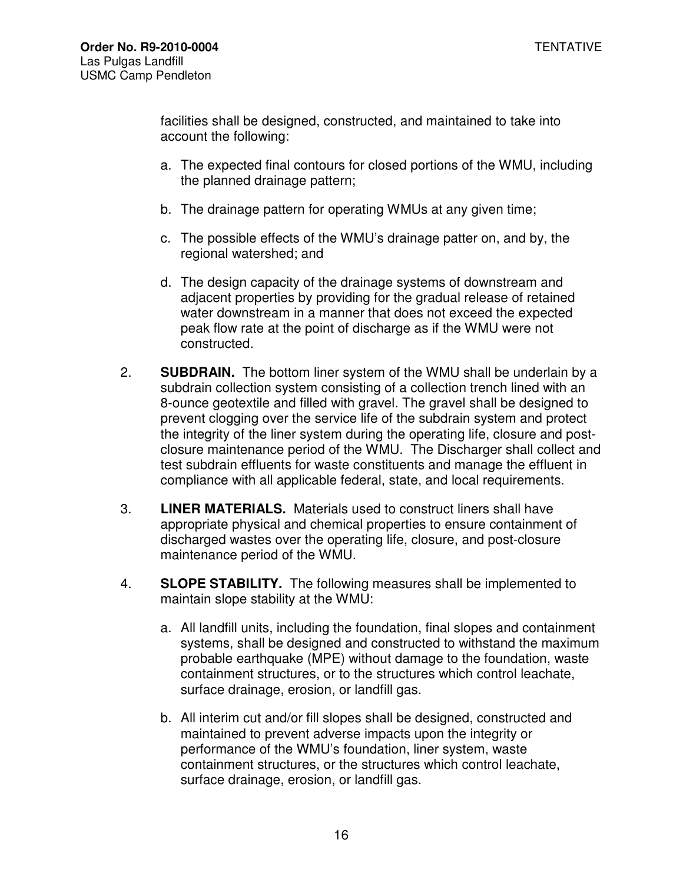facilities shall be designed, constructed, and maintained to take into account the following:

- a. The expected final contours for closed portions of the WMU, including the planned drainage pattern;
- b. The drainage pattern for operating WMUs at any given time;
- c. The possible effects of the WMU's drainage patter on, and by, the regional watershed; and
- d. The design capacity of the drainage systems of downstream and adjacent properties by providing for the gradual release of retained water downstream in a manner that does not exceed the expected peak flow rate at the point of discharge as if the WMU were not constructed.
- 2. **SUBDRAIN.** The bottom liner system of the WMU shall be underlain by a subdrain collection system consisting of a collection trench lined with an 8-ounce geotextile and filled with gravel. The gravel shall be designed to prevent clogging over the service life of the subdrain system and protect the integrity of the liner system during the operating life, closure and postclosure maintenance period of the WMU. The Discharger shall collect and test subdrain effluents for waste constituents and manage the effluent in compliance with all applicable federal, state, and local requirements.
- 3. **LINER MATERIALS.** Materials used to construct liners shall have appropriate physical and chemical properties to ensure containment of discharged wastes over the operating life, closure, and post-closure maintenance period of the WMU.
- 4. **SLOPE STABILITY.** The following measures shall be implemented to maintain slope stability at the WMU:
	- a. All landfill units, including the foundation, final slopes and containment systems, shall be designed and constructed to withstand the maximum probable earthquake (MPE) without damage to the foundation, waste containment structures, or to the structures which control leachate, surface drainage, erosion, or landfill gas.
	- b. All interim cut and/or fill slopes shall be designed, constructed and maintained to prevent adverse impacts upon the integrity or performance of the WMU's foundation, liner system, waste containment structures, or the structures which control leachate, surface drainage, erosion, or landfill gas.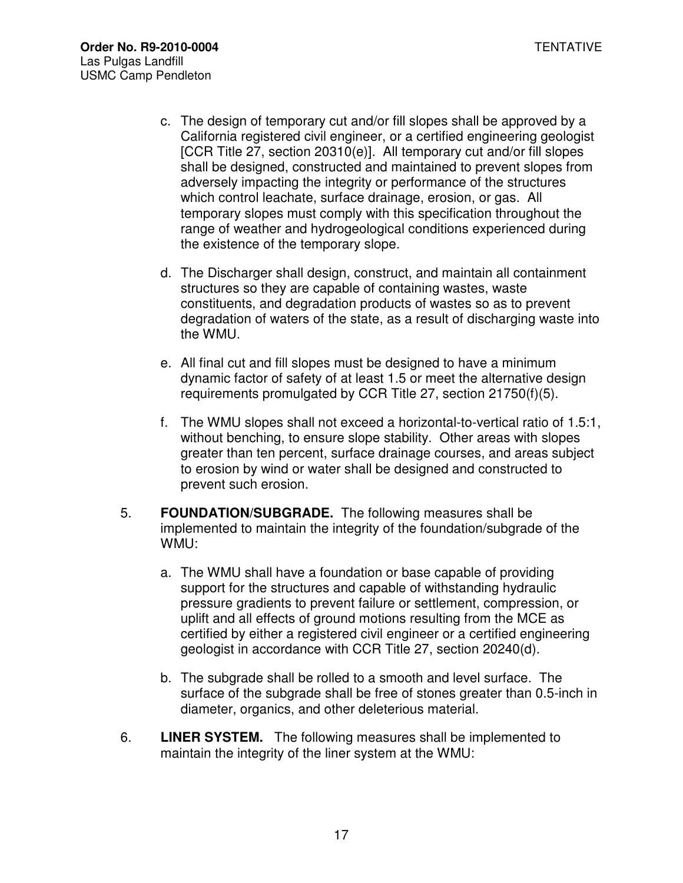- c. The design of temporary cut and/or fill slopes shall be approved by a California registered civil engineer, or a certified engineering geologist [CCR Title 27, section 20310(e)]. All temporary cut and/or fill slopes shall be designed, constructed and maintained to prevent slopes from adversely impacting the integrity or performance of the structures which control leachate, surface drainage, erosion, or gas. All temporary slopes must comply with this specification throughout the range of weather and hydrogeological conditions experienced during the existence of the temporary slope.
- d. The Discharger shall design, construct, and maintain all containment structures so they are capable of containing wastes, waste constituents, and degradation products of wastes so as to prevent degradation of waters of the state, as a result of discharging waste into the WMU.
- e. All final cut and fill slopes must be designed to have a minimum dynamic factor of safety of at least 1.5 or meet the alternative design requirements promulgated by CCR Title 27, section 21750(f)(5).
- f. The WMU slopes shall not exceed a horizontal-to-vertical ratio of 1.5:1, without benching, to ensure slope stability. Other areas with slopes greater than ten percent, surface drainage courses, and areas subject to erosion by wind or water shall be designed and constructed to prevent such erosion.
- 5. **FOUNDATION/SUBGRADE.** The following measures shall be implemented to maintain the integrity of the foundation/subgrade of the WMU:
	- a. The WMU shall have a foundation or base capable of providing support for the structures and capable of withstanding hydraulic pressure gradients to prevent failure or settlement, compression, or uplift and all effects of ground motions resulting from the MCE as certified by either a registered civil engineer or a certified engineering geologist in accordance with CCR Title 27, section 20240(d).
	- b. The subgrade shall be rolled to a smooth and level surface. The surface of the subgrade shall be free of stones greater than 0.5-inch in diameter, organics, and other deleterious material.
- 6. **LINER SYSTEM.** The following measures shall be implemented to maintain the integrity of the liner system at the WMU: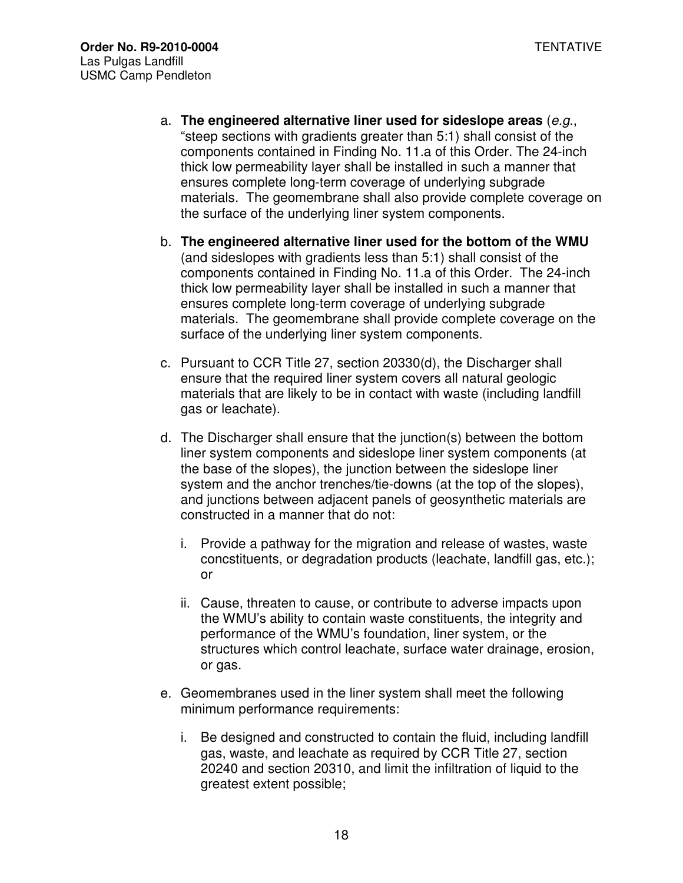- a. **The engineered alternative liner used for sideslope areas** (e.g., "steep sections with gradients greater than 5:1) shall consist of the components contained in Finding No. 11.a of this Order. The 24-inch thick low permeability layer shall be installed in such a manner that ensures complete long-term coverage of underlying subgrade materials. The geomembrane shall also provide complete coverage on the surface of the underlying liner system components.
- b. **The engineered alternative liner used for the bottom of the WMU**  (and sideslopes with gradients less than 5:1) shall consist of the components contained in Finding No. 11.a of this Order. The 24-inch thick low permeability layer shall be installed in such a manner that ensures complete long-term coverage of underlying subgrade materials. The geomembrane shall provide complete coverage on the surface of the underlying liner system components.
- c. Pursuant to CCR Title 27, section 20330(d), the Discharger shall ensure that the required liner system covers all natural geologic materials that are likely to be in contact with waste (including landfill gas or leachate).
- d. The Discharger shall ensure that the junction(s) between the bottom liner system components and sideslope liner system components (at the base of the slopes), the junction between the sideslope liner system and the anchor trenches/tie-downs (at the top of the slopes), and junctions between adjacent panels of geosynthetic materials are constructed in a manner that do not:
	- i. Provide a pathway for the migration and release of wastes, waste concstituents, or degradation products (leachate, landfill gas, etc.); or
	- ii. Cause, threaten to cause, or contribute to adverse impacts upon the WMU's ability to contain waste constituents, the integrity and performance of the WMU's foundation, liner system, or the structures which control leachate, surface water drainage, erosion, or gas.
- e. Geomembranes used in the liner system shall meet the following minimum performance requirements:
	- i. Be designed and constructed to contain the fluid, including landfill gas, waste, and leachate as required by CCR Title 27, section 20240 and section 20310, and limit the infiltration of liquid to the greatest extent possible;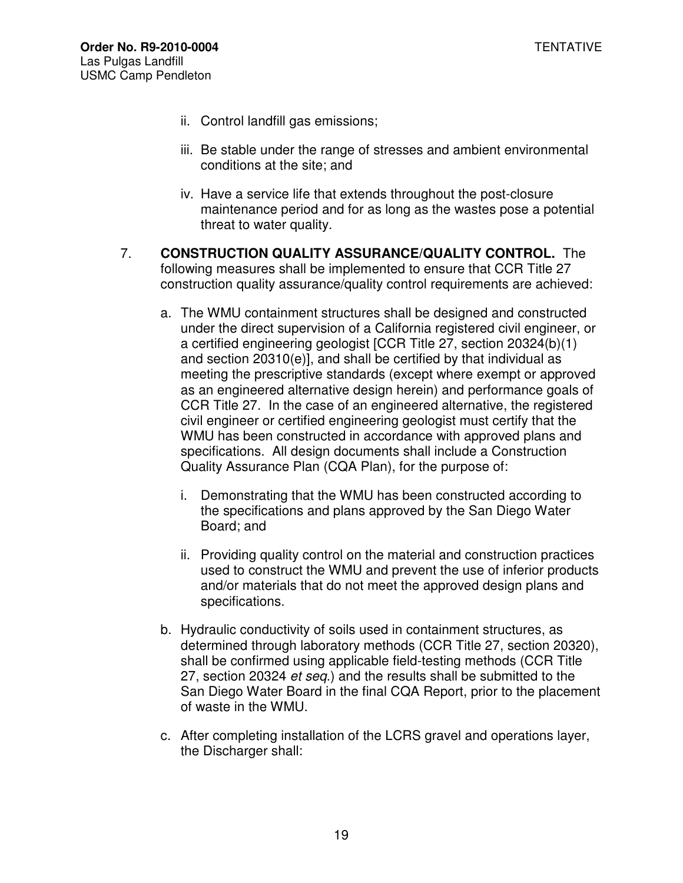- ii. Control landfill gas emissions;
- iii. Be stable under the range of stresses and ambient environmental conditions at the site; and
- iv. Have a service life that extends throughout the post-closure maintenance period and for as long as the wastes pose a potential threat to water quality.
- 7. **CONSTRUCTION QUALITY ASSURANCE/QUALITY CONTROL.** The following measures shall be implemented to ensure that CCR Title 27 construction quality assurance/quality control requirements are achieved:
	- a. The WMU containment structures shall be designed and constructed under the direct supervision of a California registered civil engineer, or a certified engineering geologist [CCR Title 27, section 20324(b)(1) and section 20310(e)], and shall be certified by that individual as meeting the prescriptive standards (except where exempt or approved as an engineered alternative design herein) and performance goals of CCR Title 27. In the case of an engineered alternative, the registered civil engineer or certified engineering geologist must certify that the WMU has been constructed in accordance with approved plans and specifications. All design documents shall include a Construction Quality Assurance Plan (CQA Plan), for the purpose of:
		- i. Demonstrating that the WMU has been constructed according to the specifications and plans approved by the San Diego Water Board; and
		- ii. Providing quality control on the material and construction practices used to construct the WMU and prevent the use of inferior products and/or materials that do not meet the approved design plans and specifications.
	- b. Hydraulic conductivity of soils used in containment structures, as determined through laboratory methods (CCR Title 27, section 20320), shall be confirmed using applicable field-testing methods (CCR Title 27, section 20324 et seq.) and the results shall be submitted to the San Diego Water Board in the final CQA Report, prior to the placement of waste in the WMU.
	- c. After completing installation of the LCRS gravel and operations layer, the Discharger shall: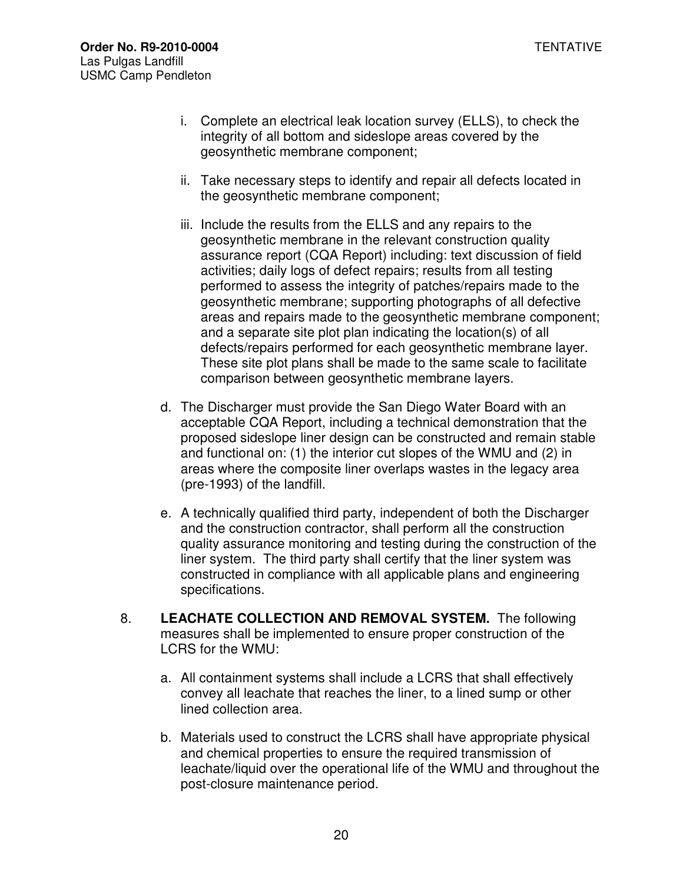- i. Complete an electrical leak location survey (ELLS), to check the integrity of all bottom and sideslope areas covered by the geosynthetic membrane component;
- ii. Take necessary steps to identify and repair all defects located in the geosynthetic membrane component;
- iii. Include the results from the ELLS and any repairs to the geosynthetic membrane in the relevant construction quality assurance report (CQA Report) including: text discussion of field activities; daily logs of defect repairs; results from all testing performed to assess the integrity of patches/repairs made to the geosynthetic membrane; supporting photographs of all defective areas and repairs made to the geosynthetic membrane component; and a separate site plot plan indicating the location(s) of all defects/repairs performed for each geosynthetic membrane layer. These site plot plans shall be made to the same scale to facilitate comparison between geosynthetic membrane layers.
- d. The Discharger must provide the San Diego Water Board with an acceptable CQA Report, including a technical demonstration that the proposed sideslope liner design can be constructed and remain stable and functional on: (1) the interior cut slopes of the WMU and (2) in areas where the composite liner overlaps wastes in the legacy area (pre-1993) of the landfill.
- e. A technically qualified third party, independent of both the Discharger and the construction contractor, shall perform all the construction quality assurance monitoring and testing during the construction of the liner system. The third party shall certify that the liner system was constructed in compliance with all applicable plans and engineering specifications.
- 8. **LEACHATE COLLECTION AND REMOVAL SYSTEM.** The following measures shall be implemented to ensure proper construction of the LCRS for the WMU:
	- a. All containment systems shall include a LCRS that shall effectively convey all leachate that reaches the liner, to a lined sump or other lined collection area.
	- b. Materials used to construct the LCRS shall have appropriate physical and chemical properties to ensure the required transmission of leachate/liquid over the operational life of the WMU and throughout the post-closure maintenance period.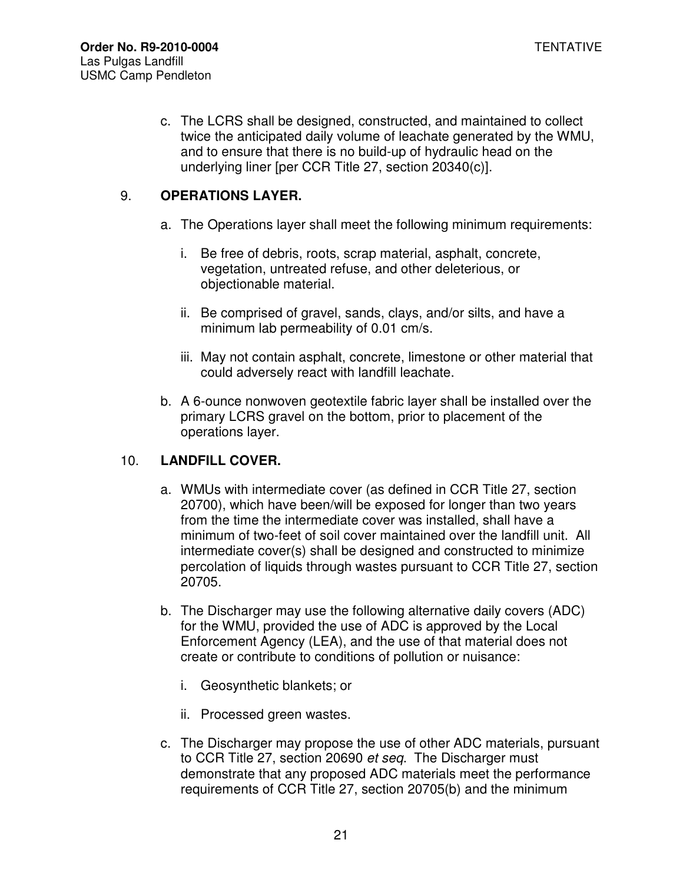c. The LCRS shall be designed, constructed, and maintained to collect twice the anticipated daily volume of leachate generated by the WMU, and to ensure that there is no build-up of hydraulic head on the underlying liner [per CCR Title 27, section 20340(c)].

# 9. **OPERATIONS LAYER.**

- a. The Operations layer shall meet the following minimum requirements:
	- i. Be free of debris, roots, scrap material, asphalt, concrete, vegetation, untreated refuse, and other deleterious, or objectionable material.
	- ii. Be comprised of gravel, sands, clays, and/or silts, and have a minimum lab permeability of 0.01 cm/s.
	- iii. May not contain asphalt, concrete, limestone or other material that could adversely react with landfill leachate.
- b. A 6-ounce nonwoven geotextile fabric layer shall be installed over the primary LCRS gravel on the bottom, prior to placement of the operations layer.

## 10. **LANDFILL COVER.**

- a. WMUs with intermediate cover (as defined in CCR Title 27, section 20700), which have been/will be exposed for longer than two years from the time the intermediate cover was installed, shall have a minimum of two-feet of soil cover maintained over the landfill unit. All intermediate cover(s) shall be designed and constructed to minimize percolation of liquids through wastes pursuant to CCR Title 27, section 20705.
- b. The Discharger may use the following alternative daily covers (ADC) for the WMU, provided the use of ADC is approved by the Local Enforcement Agency (LEA), and the use of that material does not create or contribute to conditions of pollution or nuisance:
	- i. Geosynthetic blankets; or
	- ii. Processed green wastes.
- c. The Discharger may propose the use of other ADC materials, pursuant to CCR Title 27, section 20690 et seq. The Discharger must demonstrate that any proposed ADC materials meet the performance requirements of CCR Title 27, section 20705(b) and the minimum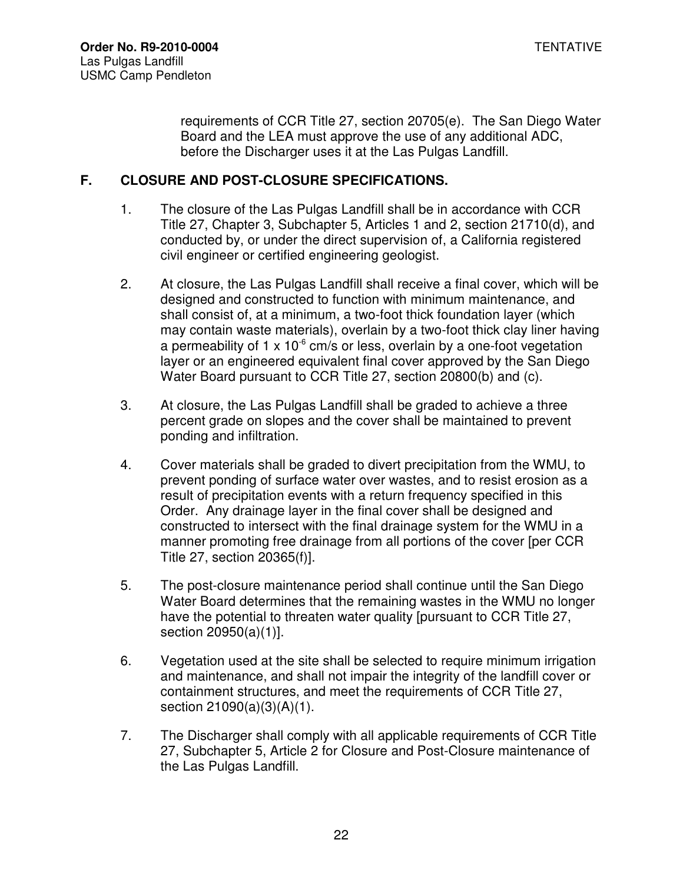requirements of CCR Title 27, section 20705(e). The San Diego Water Board and the LEA must approve the use of any additional ADC, before the Discharger uses it at the Las Pulgas Landfill.

## **F. CLOSURE AND POST-CLOSURE SPECIFICATIONS.**

- 1. The closure of the Las Pulgas Landfill shall be in accordance with CCR Title 27, Chapter 3, Subchapter 5, Articles 1 and 2, section 21710(d), and conducted by, or under the direct supervision of, a California registered civil engineer or certified engineering geologist.
- 2. At closure, the Las Pulgas Landfill shall receive a final cover, which will be designed and constructed to function with minimum maintenance, and shall consist of, at a minimum, a two-foot thick foundation layer (which may contain waste materials), overlain by a two-foot thick clay liner having a permeability of 1 x 10 $\degree$  cm/s or less, overlain by a one-foot vegetation layer or an engineered equivalent final cover approved by the San Diego Water Board pursuant to CCR Title 27, section 20800(b) and (c).
- 3. At closure, the Las Pulgas Landfill shall be graded to achieve a three percent grade on slopes and the cover shall be maintained to prevent ponding and infiltration.
- 4. Cover materials shall be graded to divert precipitation from the WMU, to prevent ponding of surface water over wastes, and to resist erosion as a result of precipitation events with a return frequency specified in this Order. Any drainage layer in the final cover shall be designed and constructed to intersect with the final drainage system for the WMU in a manner promoting free drainage from all portions of the cover [per CCR Title 27, section 20365(f)].
- 5. The post-closure maintenance period shall continue until the San Diego Water Board determines that the remaining wastes in the WMU no longer have the potential to threaten water quality [pursuant to CCR Title 27, section 20950(a)(1)].
- 6. Vegetation used at the site shall be selected to require minimum irrigation and maintenance, and shall not impair the integrity of the landfill cover or containment structures, and meet the requirements of CCR Title 27, section 21090(a)(3)(A)(1).
- 7. The Discharger shall comply with all applicable requirements of CCR Title 27, Subchapter 5, Article 2 for Closure and Post-Closure maintenance of the Las Pulgas Landfill.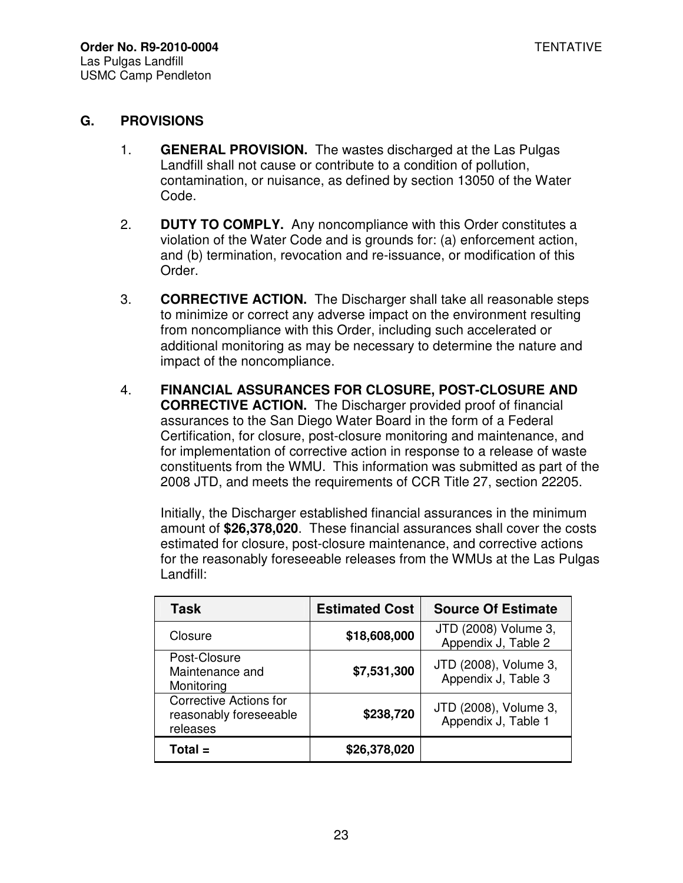#### **G. PROVISIONS**

- 1. **GENERAL PROVISION.** The wastes discharged at the Las Pulgas Landfill shall not cause or contribute to a condition of pollution, contamination, or nuisance, as defined by section 13050 of the Water Code.
- 2. **DUTY TO COMPLY.** Any noncompliance with this Order constitutes a violation of the Water Code and is grounds for: (a) enforcement action, and (b) termination, revocation and re-issuance, or modification of this Order.
- 3. **CORRECTIVE ACTION.** The Discharger shall take all reasonable steps to minimize or correct any adverse impact on the environment resulting from noncompliance with this Order, including such accelerated or additional monitoring as may be necessary to determine the nature and impact of the noncompliance.
- 4. **FINANCIAL ASSURANCES FOR CLOSURE, POST-CLOSURE AND CORRECTIVE ACTION.** The Discharger provided proof of financial assurances to the San Diego Water Board in the form of a Federal Certification, for closure, post-closure monitoring and maintenance, and for implementation of corrective action in response to a release of waste constituents from the WMU. This information was submitted as part of the 2008 JTD, and meets the requirements of CCR Title 27, section 22205.

Initially, the Discharger established financial assurances in the minimum amount of **\$26,378,020**. These financial assurances shall cover the costs estimated for closure, post-closure maintenance, and corrective actions for the reasonably foreseeable releases from the WMUs at the Las Pulgas Landfill:

| Task                                                                | <b>Estimated Cost</b> | <b>Source Of Estimate</b>                    |
|---------------------------------------------------------------------|-----------------------|----------------------------------------------|
| Closure                                                             | \$18,608,000          | JTD (2008) Volume 3,<br>Appendix J, Table 2  |
| Post-Closure<br>Maintenance and<br>Monitoring                       | \$7,531,300           | JTD (2008), Volume 3,<br>Appendix J, Table 3 |
| <b>Corrective Actions for</b><br>reasonably foreseeable<br>releases | \$238,720             | JTD (2008), Volume 3,<br>Appendix J, Table 1 |
| Total $=$                                                           | \$26,378,020          |                                              |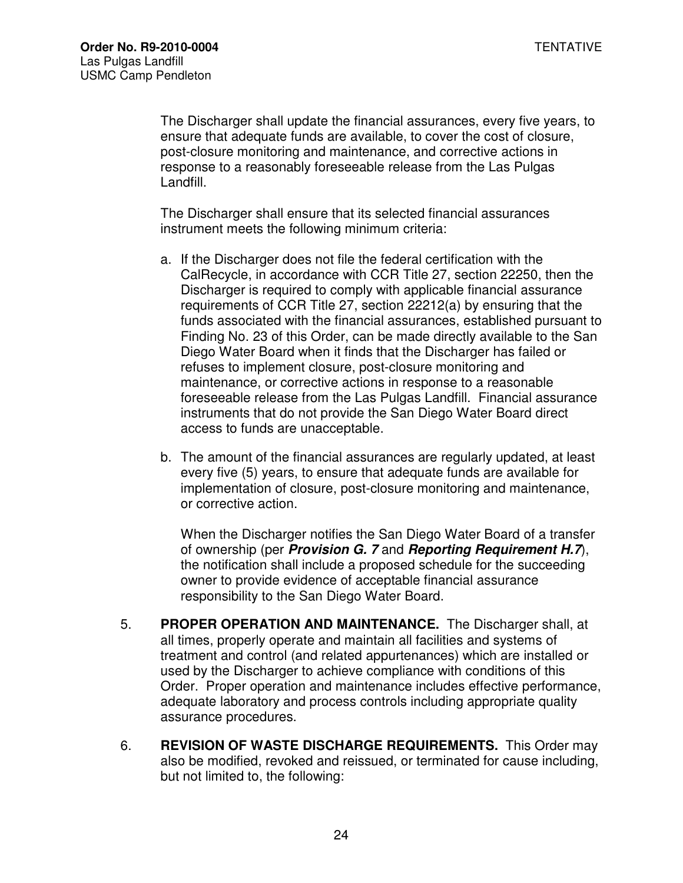The Discharger shall update the financial assurances, every five years, to ensure that adequate funds are available, to cover the cost of closure, post-closure monitoring and maintenance, and corrective actions in response to a reasonably foreseeable release from the Las Pulgas Landfill.

The Discharger shall ensure that its selected financial assurances instrument meets the following minimum criteria:

- a. If the Discharger does not file the federal certification with the CalRecycle, in accordance with CCR Title 27, section 22250, then the Discharger is required to comply with applicable financial assurance requirements of CCR Title 27, section 22212(a) by ensuring that the funds associated with the financial assurances, established pursuant to Finding No. 23 of this Order, can be made directly available to the San Diego Water Board when it finds that the Discharger has failed or refuses to implement closure, post-closure monitoring and maintenance, or corrective actions in response to a reasonable foreseeable release from the Las Pulgas Landfill. Financial assurance instruments that do not provide the San Diego Water Board direct access to funds are unacceptable.
- b. The amount of the financial assurances are regularly updated, at least every five (5) years, to ensure that adequate funds are available for implementation of closure, post-closure monitoring and maintenance, or corrective action.

When the Discharger notifies the San Diego Water Board of a transfer of ownership (per **Provision G. 7** and **Reporting Requirement H.7**), the notification shall include a proposed schedule for the succeeding owner to provide evidence of acceptable financial assurance responsibility to the San Diego Water Board.

- 5. **PROPER OPERATION AND MAINTENANCE.** The Discharger shall, at all times, properly operate and maintain all facilities and systems of treatment and control (and related appurtenances) which are installed or used by the Discharger to achieve compliance with conditions of this Order. Proper operation and maintenance includes effective performance, adequate laboratory and process controls including appropriate quality assurance procedures.
- 6. **REVISION OF WASTE DISCHARGE REQUIREMENTS.** This Order may also be modified, revoked and reissued, or terminated for cause including, but not limited to, the following: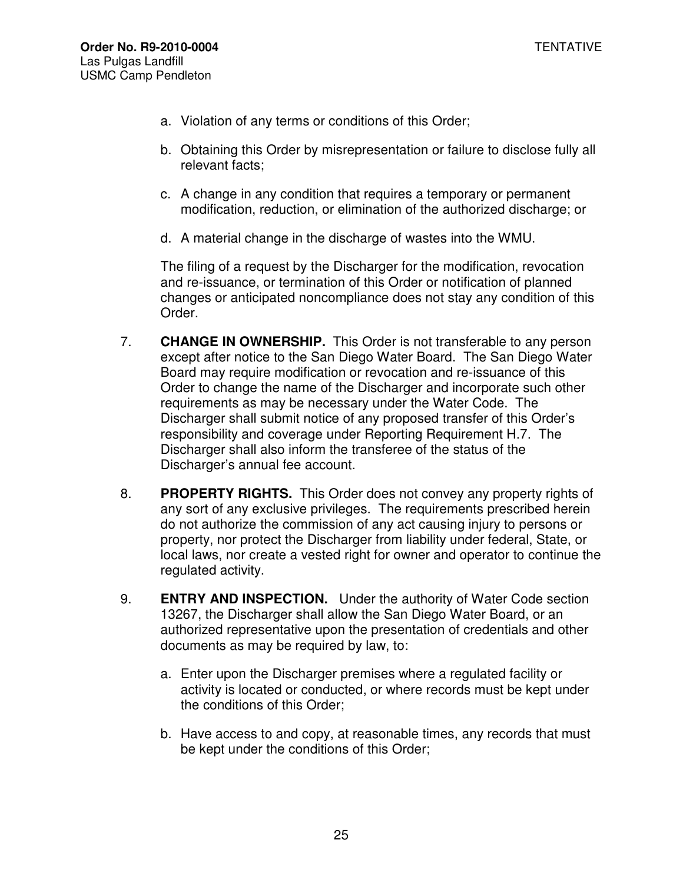- a. Violation of any terms or conditions of this Order;
- b. Obtaining this Order by misrepresentation or failure to disclose fully all relevant facts;
- c. A change in any condition that requires a temporary or permanent modification, reduction, or elimination of the authorized discharge; or
- d. A material change in the discharge of wastes into the WMU.

The filing of a request by the Discharger for the modification, revocation and re-issuance, or termination of this Order or notification of planned changes or anticipated noncompliance does not stay any condition of this Order.

- 7. **CHANGE IN OWNERSHIP.** This Order is not transferable to any person except after notice to the San Diego Water Board. The San Diego Water Board may require modification or revocation and re-issuance of this Order to change the name of the Discharger and incorporate such other requirements as may be necessary under the Water Code. The Discharger shall submit notice of any proposed transfer of this Order's responsibility and coverage under Reporting Requirement H.7. The Discharger shall also inform the transferee of the status of the Discharger's annual fee account.
- 8. **PROPERTY RIGHTS.** This Order does not convey any property rights of any sort of any exclusive privileges. The requirements prescribed herein do not authorize the commission of any act causing injury to persons or property, nor protect the Discharger from liability under federal, State, or local laws, nor create a vested right for owner and operator to continue the regulated activity.
- 9. **ENTRY AND INSPECTION.** Under the authority of Water Code section 13267, the Discharger shall allow the San Diego Water Board, or an authorized representative upon the presentation of credentials and other documents as may be required by law, to:
	- a. Enter upon the Discharger premises where a regulated facility or activity is located or conducted, or where records must be kept under the conditions of this Order;
	- b. Have access to and copy, at reasonable times, any records that must be kept under the conditions of this Order;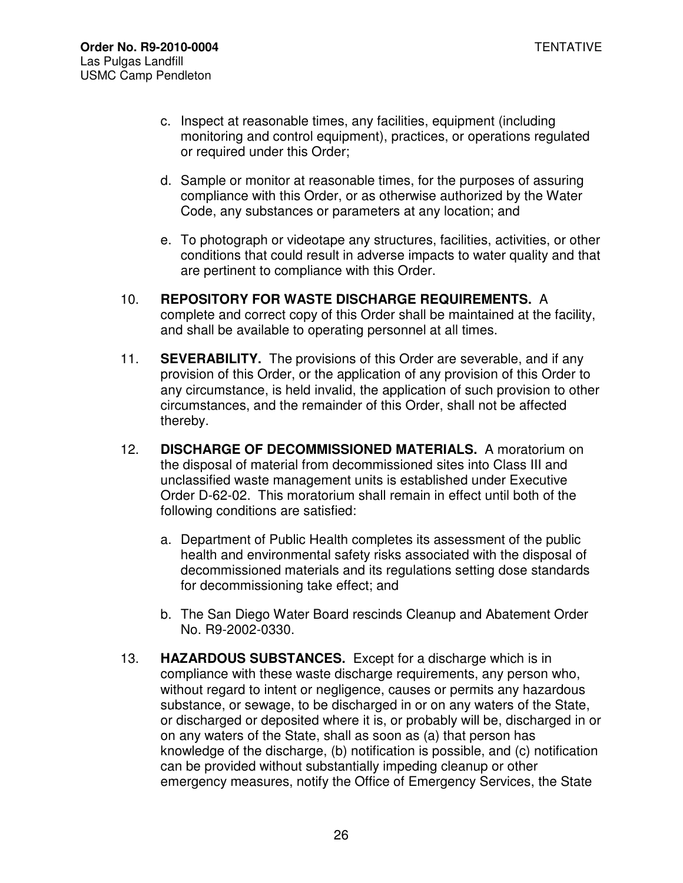- c. Inspect at reasonable times, any facilities, equipment (including monitoring and control equipment), practices, or operations regulated or required under this Order;
- d. Sample or monitor at reasonable times, for the purposes of assuring compliance with this Order, or as otherwise authorized by the Water Code, any substances or parameters at any location; and
- e. To photograph or videotape any structures, facilities, activities, or other conditions that could result in adverse impacts to water quality and that are pertinent to compliance with this Order.
- 10. **REPOSITORY FOR WASTE DISCHARGE REQUIREMENTS.** A complete and correct copy of this Order shall be maintained at the facility, and shall be available to operating personnel at all times.
- 11. **SEVERABILITY.** The provisions of this Order are severable, and if any provision of this Order, or the application of any provision of this Order to any circumstance, is held invalid, the application of such provision to other circumstances, and the remainder of this Order, shall not be affected thereby.
- 12. **DISCHARGE OF DECOMMISSIONED MATERIALS.** A moratorium on the disposal of material from decommissioned sites into Class III and unclassified waste management units is established under Executive Order D-62-02. This moratorium shall remain in effect until both of the following conditions are satisfied:
	- a. Department of Public Health completes its assessment of the public health and environmental safety risks associated with the disposal of decommissioned materials and its regulations setting dose standards for decommissioning take effect; and
	- b. The San Diego Water Board rescinds Cleanup and Abatement Order No. R9-2002-0330.
- 13. **HAZARDOUS SUBSTANCES.** Except for a discharge which is in compliance with these waste discharge requirements, any person who, without regard to intent or negligence, causes or permits any hazardous substance, or sewage, to be discharged in or on any waters of the State, or discharged or deposited where it is, or probably will be, discharged in or on any waters of the State, shall as soon as (a) that person has knowledge of the discharge, (b) notification is possible, and (c) notification can be provided without substantially impeding cleanup or other emergency measures, notify the Office of Emergency Services, the State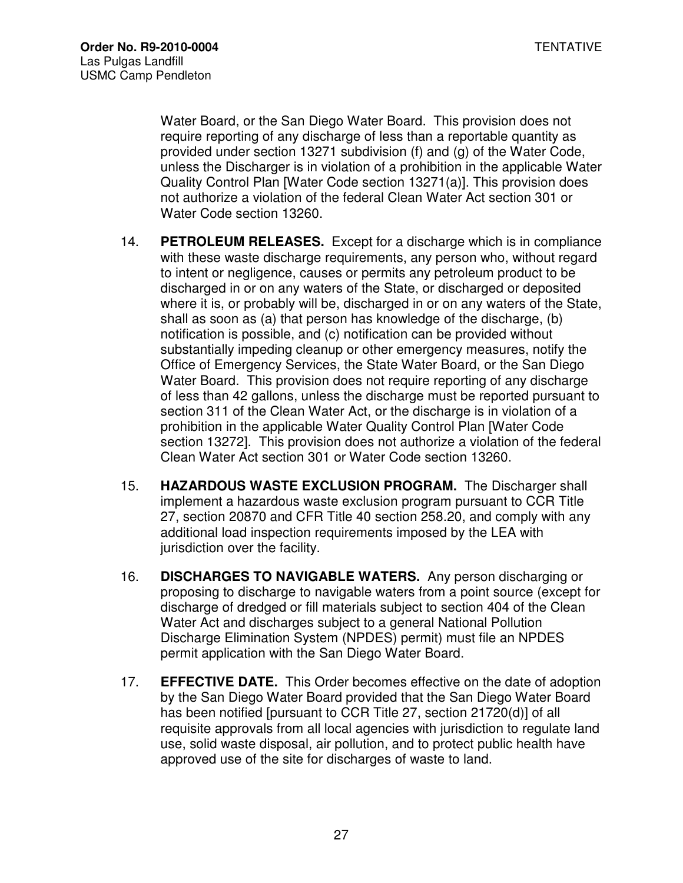Water Board, or the San Diego Water Board. This provision does not require reporting of any discharge of less than a reportable quantity as provided under section 13271 subdivision (f) and (g) of the Water Code, unless the Discharger is in violation of a prohibition in the applicable Water Quality Control Plan [Water Code section 13271(a)]. This provision does not authorize a violation of the federal Clean Water Act section 301 or Water Code section 13260.

- 14. **PETROLEUM RELEASES.** Except for a discharge which is in compliance with these waste discharge requirements, any person who, without regard to intent or negligence, causes or permits any petroleum product to be discharged in or on any waters of the State, or discharged or deposited where it is, or probably will be, discharged in or on any waters of the State, shall as soon as (a) that person has knowledge of the discharge, (b) notification is possible, and (c) notification can be provided without substantially impeding cleanup or other emergency measures, notify the Office of Emergency Services, the State Water Board, or the San Diego Water Board. This provision does not require reporting of any discharge of less than 42 gallons, unless the discharge must be reported pursuant to section 311 of the Clean Water Act, or the discharge is in violation of a prohibition in the applicable Water Quality Control Plan [Water Code section 13272]. This provision does not authorize a violation of the federal Clean Water Act section 301 or Water Code section 13260.
- 15. **HAZARDOUS WASTE EXCLUSION PROGRAM.** The Discharger shall implement a hazardous waste exclusion program pursuant to CCR Title 27, section 20870 and CFR Title 40 section 258.20, and comply with any additional load inspection requirements imposed by the LEA with jurisdiction over the facility.
- 16. **DISCHARGES TO NAVIGABLE WATERS.** Any person discharging or proposing to discharge to navigable waters from a point source (except for discharge of dredged or fill materials subject to section 404 of the Clean Water Act and discharges subject to a general National Pollution Discharge Elimination System (NPDES) permit) must file an NPDES permit application with the San Diego Water Board.
- 17. **EFFECTIVE DATE.** This Order becomes effective on the date of adoption by the San Diego Water Board provided that the San Diego Water Board has been notified [pursuant to CCR Title 27, section 21720(d)] of all requisite approvals from all local agencies with jurisdiction to regulate land use, solid waste disposal, air pollution, and to protect public health have approved use of the site for discharges of waste to land.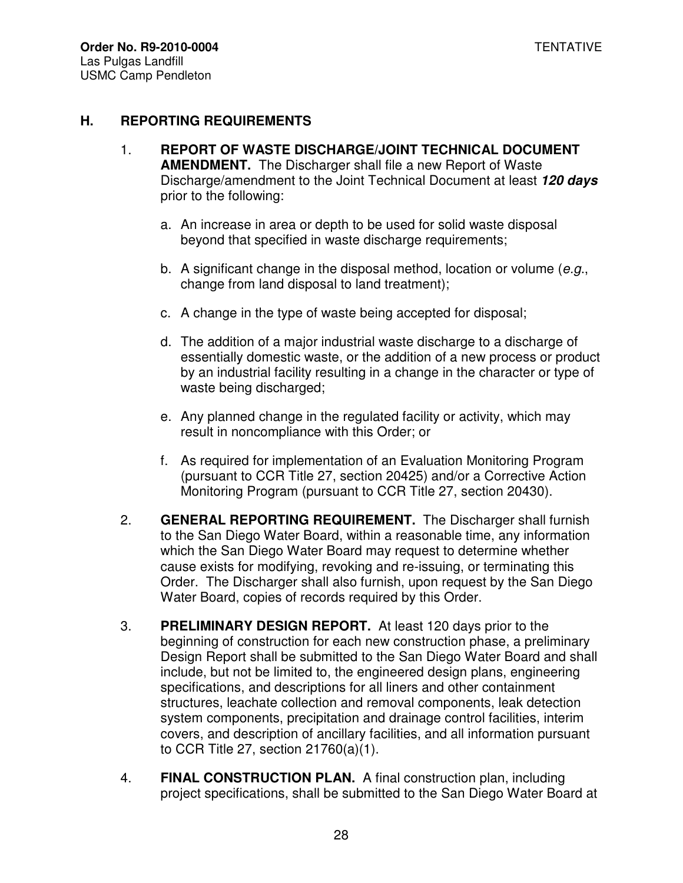#### **H. REPORTING REQUIREMENTS**

- 1. **REPORT OF WASTE DISCHARGE/JOINT TECHNICAL DOCUMENT AMENDMENT.** The Discharger shall file a new Report of Waste Discharge/amendment to the Joint Technical Document at least **120 days** prior to the following:
	- a. An increase in area or depth to be used for solid waste disposal beyond that specified in waste discharge requirements;
	- b. A significant change in the disposal method, location or volume ( $e.g.,$ change from land disposal to land treatment);
	- c. A change in the type of waste being accepted for disposal;
	- d. The addition of a major industrial waste discharge to a discharge of essentially domestic waste, or the addition of a new process or product by an industrial facility resulting in a change in the character or type of waste being discharged;
	- e. Any planned change in the regulated facility or activity, which may result in noncompliance with this Order; or
	- f. As required for implementation of an Evaluation Monitoring Program (pursuant to CCR Title 27, section 20425) and/or a Corrective Action Monitoring Program (pursuant to CCR Title 27, section 20430).
- 2. **GENERAL REPORTING REQUIREMENT.** The Discharger shall furnish to the San Diego Water Board, within a reasonable time, any information which the San Diego Water Board may request to determine whether cause exists for modifying, revoking and re-issuing, or terminating this Order. The Discharger shall also furnish, upon request by the San Diego Water Board, copies of records required by this Order.
- 3. **PRELIMINARY DESIGN REPORT.** At least 120 days prior to the beginning of construction for each new construction phase, a preliminary Design Report shall be submitted to the San Diego Water Board and shall include, but not be limited to, the engineered design plans, engineering specifications, and descriptions for all liners and other containment structures, leachate collection and removal components, leak detection system components, precipitation and drainage control facilities, interim covers, and description of ancillary facilities, and all information pursuant to CCR Title 27, section 21760(a)(1).
- 4. **FINAL CONSTRUCTION PLAN.** A final construction plan, including project specifications, shall be submitted to the San Diego Water Board at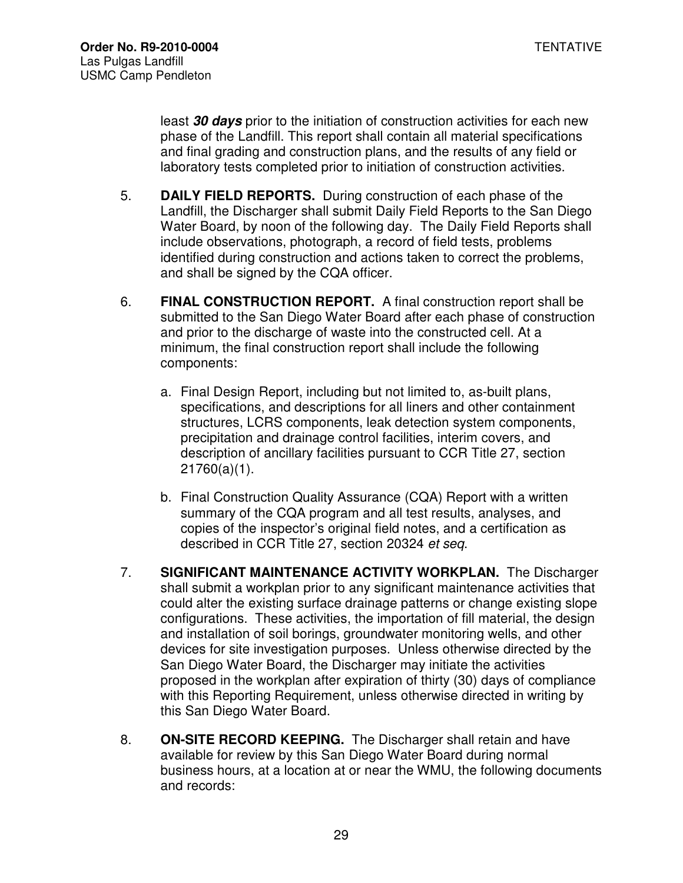least **30 days** prior to the initiation of construction activities for each new phase of the Landfill. This report shall contain all material specifications and final grading and construction plans, and the results of any field or laboratory tests completed prior to initiation of construction activities.

- 5. **DAILY FIELD REPORTS.** During construction of each phase of the Landfill, the Discharger shall submit Daily Field Reports to the San Diego Water Board, by noon of the following day. The Daily Field Reports shall include observations, photograph, a record of field tests, problems identified during construction and actions taken to correct the problems, and shall be signed by the CQA officer.
- 6. **FINAL CONSTRUCTION REPORT.** A final construction report shall be submitted to the San Diego Water Board after each phase of construction and prior to the discharge of waste into the constructed cell. At a minimum, the final construction report shall include the following components:
	- a. Final Design Report, including but not limited to, as-built plans, specifications, and descriptions for all liners and other containment structures, LCRS components, leak detection system components, precipitation and drainage control facilities, interim covers, and description of ancillary facilities pursuant to CCR Title 27, section 21760(a)(1).
	- b. Final Construction Quality Assurance (CQA) Report with a written summary of the CQA program and all test results, analyses, and copies of the inspector's original field notes, and a certification as described in CCR Title 27, section 20324 et seq.
- 7. **SIGNIFICANT MAINTENANCE ACTIVITY WORKPLAN.** The Discharger shall submit a workplan prior to any significant maintenance activities that could alter the existing surface drainage patterns or change existing slope configurations. These activities, the importation of fill material, the design and installation of soil borings, groundwater monitoring wells, and other devices for site investigation purposes. Unless otherwise directed by the San Diego Water Board, the Discharger may initiate the activities proposed in the workplan after expiration of thirty (30) days of compliance with this Reporting Requirement, unless otherwise directed in writing by this San Diego Water Board.
- 8. **ON-SITE RECORD KEEPING.** The Discharger shall retain and have available for review by this San Diego Water Board during normal business hours, at a location at or near the WMU, the following documents and records: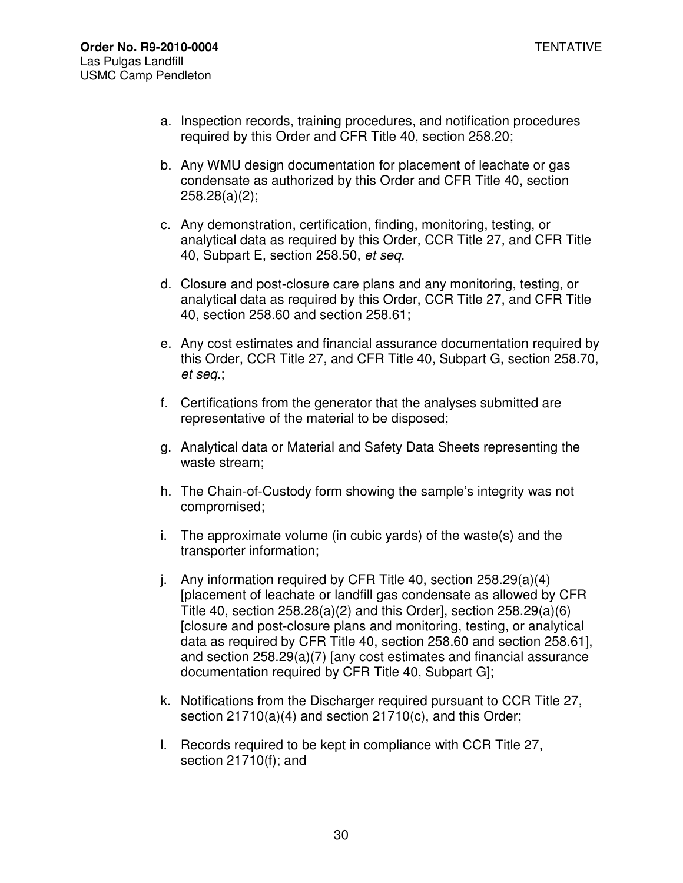- a. Inspection records, training procedures, and notification procedures required by this Order and CFR Title 40, section 258.20;
- b. Any WMU design documentation for placement of leachate or gas condensate as authorized by this Order and CFR Title 40, section 258.28(a)(2);
- c. Any demonstration, certification, finding, monitoring, testing, or analytical data as required by this Order, CCR Title 27, and CFR Title 40, Subpart E, section 258.50, et seq.
- d. Closure and post-closure care plans and any monitoring, testing, or analytical data as required by this Order, CCR Title 27, and CFR Title 40, section 258.60 and section 258.61;
- e. Any cost estimates and financial assurance documentation required by this Order, CCR Title 27, and CFR Title 40, Subpart G, section 258.70, et seq.;
- f. Certifications from the generator that the analyses submitted are representative of the material to be disposed;
- g. Analytical data or Material and Safety Data Sheets representing the waste stream;
- h. The Chain-of-Custody form showing the sample's integrity was not compromised;
- i. The approximate volume (in cubic yards) of the waste(s) and the transporter information;
- j. Any information required by CFR Title 40, section 258.29(a)(4) [placement of leachate or landfill gas condensate as allowed by CFR Title 40, section 258.28(a)(2) and this Order], section 258.29(a)(6) [closure and post-closure plans and monitoring, testing, or analytical data as required by CFR Title 40, section 258.60 and section 258.61], and section 258.29(a)(7) [any cost estimates and financial assurance documentation required by CFR Title 40, Subpart G];
- k. Notifications from the Discharger required pursuant to CCR Title 27, section 21710(a)(4) and section 21710(c), and this Order;
- l. Records required to be kept in compliance with CCR Title 27, section 21710(f); and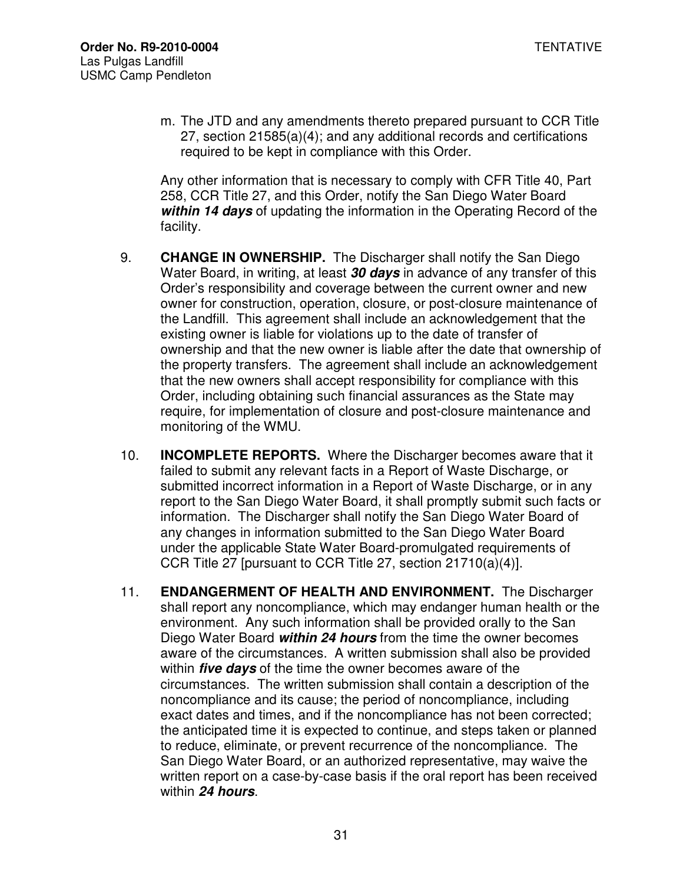m. The JTD and any amendments thereto prepared pursuant to CCR Title 27, section 21585(a)(4); and any additional records and certifications required to be kept in compliance with this Order.

Any other information that is necessary to comply with CFR Title 40, Part 258, CCR Title 27, and this Order, notify the San Diego Water Board **within 14 days** of updating the information in the Operating Record of the facility.

- 9. **CHANGE IN OWNERSHIP.** The Discharger shall notify the San Diego Water Board, in writing, at least **30 days** in advance of any transfer of this Order's responsibility and coverage between the current owner and new owner for construction, operation, closure, or post-closure maintenance of the Landfill. This agreement shall include an acknowledgement that the existing owner is liable for violations up to the date of transfer of ownership and that the new owner is liable after the date that ownership of the property transfers. The agreement shall include an acknowledgement that the new owners shall accept responsibility for compliance with this Order, including obtaining such financial assurances as the State may require, for implementation of closure and post-closure maintenance and monitoring of the WMU.
- 10. **INCOMPLETE REPORTS.** Where the Discharger becomes aware that it failed to submit any relevant facts in a Report of Waste Discharge, or submitted incorrect information in a Report of Waste Discharge, or in any report to the San Diego Water Board, it shall promptly submit such facts or information. The Discharger shall notify the San Diego Water Board of any changes in information submitted to the San Diego Water Board under the applicable State Water Board-promulgated requirements of CCR Title 27 [pursuant to CCR Title 27, section 21710(a)(4)].
- 11. **ENDANGERMENT OF HEALTH AND ENVIRONMENT.** The Discharger shall report any noncompliance, which may endanger human health or the environment. Any such information shall be provided orally to the San Diego Water Board **within 24 hours** from the time the owner becomes aware of the circumstances. A written submission shall also be provided within **five days** of the time the owner becomes aware of the circumstances. The written submission shall contain a description of the noncompliance and its cause; the period of noncompliance, including exact dates and times, and if the noncompliance has not been corrected; the anticipated time it is expected to continue, and steps taken or planned to reduce, eliminate, or prevent recurrence of the noncompliance. The San Diego Water Board, or an authorized representative, may waive the written report on a case-by-case basis if the oral report has been received within **24 hours**.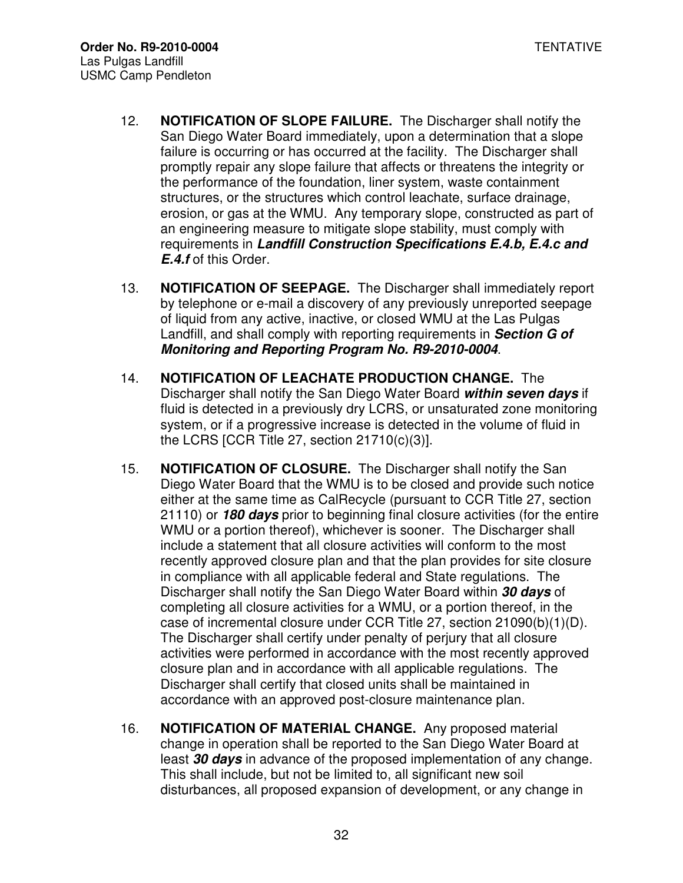- 12. **NOTIFICATION OF SLOPE FAILURE.** The Discharger shall notify the San Diego Water Board immediately, upon a determination that a slope failure is occurring or has occurred at the facility. The Discharger shall promptly repair any slope failure that affects or threatens the integrity or the performance of the foundation, liner system, waste containment structures, or the structures which control leachate, surface drainage, erosion, or gas at the WMU. Any temporary slope, constructed as part of an engineering measure to mitigate slope stability, must comply with requirements in **Landfill Construction Specifications E.4.b, E.4.c and E.4.f** of this Order.
- 13. **NOTIFICATION OF SEEPAGE.** The Discharger shall immediately report by telephone or e-mail a discovery of any previously unreported seepage of liquid from any active, inactive, or closed WMU at the Las Pulgas Landfill, and shall comply with reporting requirements in **Section G of Monitoring and Reporting Program No. R9-2010-0004**.
- 14. **NOTIFICATION OF LEACHATE PRODUCTION CHANGE.** The Discharger shall notify the San Diego Water Board **within seven days** if fluid is detected in a previously dry LCRS, or unsaturated zone monitoring system, or if a progressive increase is detected in the volume of fluid in the LCRS [CCR Title 27, section 21710(c)(3)].
- 15. **NOTIFICATION OF CLOSURE.** The Discharger shall notify the San Diego Water Board that the WMU is to be closed and provide such notice either at the same time as CalRecycle (pursuant to CCR Title 27, section 21110) or **180 days** prior to beginning final closure activities (for the entire WMU or a portion thereof), whichever is sooner. The Discharger shall include a statement that all closure activities will conform to the most recently approved closure plan and that the plan provides for site closure in compliance with all applicable federal and State regulations. The Discharger shall notify the San Diego Water Board within **30 days** of completing all closure activities for a WMU, or a portion thereof, in the case of incremental closure under CCR Title 27, section 21090(b)(1)(D). The Discharger shall certify under penalty of perjury that all closure activities were performed in accordance with the most recently approved closure plan and in accordance with all applicable regulations. The Discharger shall certify that closed units shall be maintained in accordance with an approved post-closure maintenance plan.
- 16. **NOTIFICATION OF MATERIAL CHANGE.** Any proposed material change in operation shall be reported to the San Diego Water Board at least **30 days** in advance of the proposed implementation of any change. This shall include, but not be limited to, all significant new soil disturbances, all proposed expansion of development, or any change in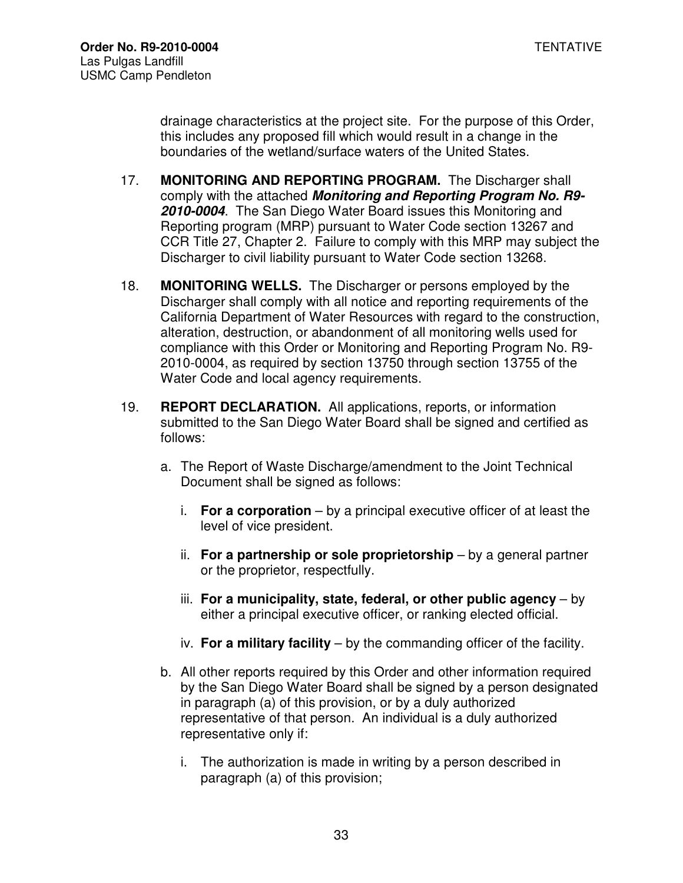drainage characteristics at the project site. For the purpose of this Order, this includes any proposed fill which would result in a change in the boundaries of the wetland/surface waters of the United States.

- 17. **MONITORING AND REPORTING PROGRAM.** The Discharger shall comply with the attached **Monitoring and Reporting Program No. R9- 2010-0004**. The San Diego Water Board issues this Monitoring and Reporting program (MRP) pursuant to Water Code section 13267 and CCR Title 27, Chapter 2. Failure to comply with this MRP may subject the Discharger to civil liability pursuant to Water Code section 13268.
- 18. **MONITORING WELLS.** The Discharger or persons employed by the Discharger shall comply with all notice and reporting requirements of the California Department of Water Resources with regard to the construction, alteration, destruction, or abandonment of all monitoring wells used for compliance with this Order or Monitoring and Reporting Program No. R9- 2010-0004, as required by section 13750 through section 13755 of the Water Code and local agency requirements.
- 19. **REPORT DECLARATION.** All applications, reports, or information submitted to the San Diego Water Board shall be signed and certified as follows:
	- a. The Report of Waste Discharge/amendment to the Joint Technical Document shall be signed as follows:
		- i. **For a corporation** by a principal executive officer of at least the level of vice president.
		- ii. **For a partnership or sole proprietorship** by a general partner or the proprietor, respectfully.
		- iii. **For a municipality, state, federal, or other public agency** by either a principal executive officer, or ranking elected official.
		- iv. **For a military facility** by the commanding officer of the facility.
	- b. All other reports required by this Order and other information required by the San Diego Water Board shall be signed by a person designated in paragraph (a) of this provision, or by a duly authorized representative of that person. An individual is a duly authorized representative only if:
		- i. The authorization is made in writing by a person described in paragraph (a) of this provision;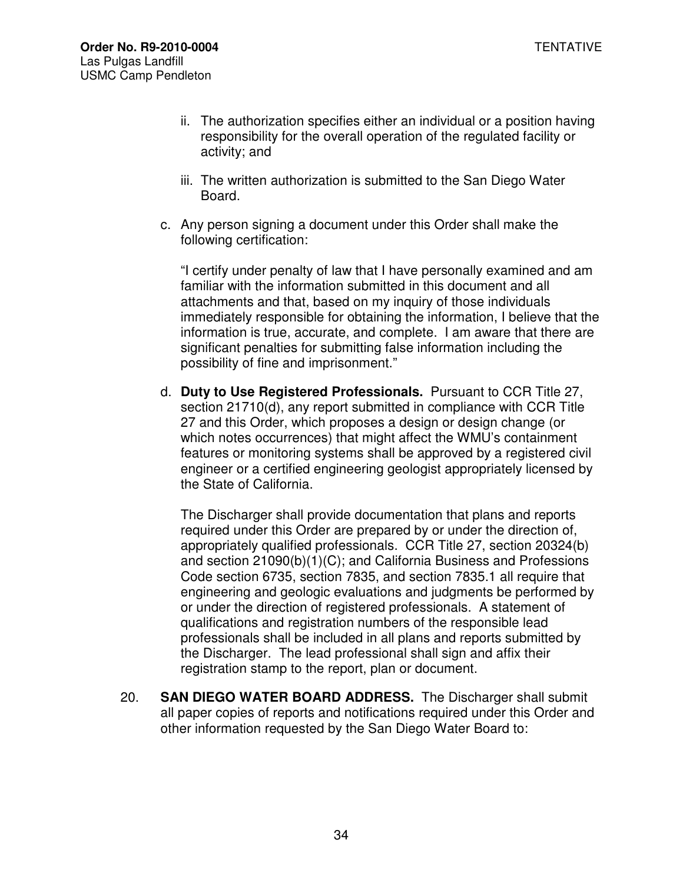- ii. The authorization specifies either an individual or a position having responsibility for the overall operation of the regulated facility or activity; and
- iii. The written authorization is submitted to the San Diego Water Board.
- c. Any person signing a document under this Order shall make the following certification:

"I certify under penalty of law that I have personally examined and am familiar with the information submitted in this document and all attachments and that, based on my inquiry of those individuals immediately responsible for obtaining the information, I believe that the information is true, accurate, and complete. I am aware that there are significant penalties for submitting false information including the possibility of fine and imprisonment."

d. **Duty to Use Registered Professionals.** Pursuant to CCR Title 27, section 21710(d), any report submitted in compliance with CCR Title 27 and this Order, which proposes a design or design change (or which notes occurrences) that might affect the WMU's containment features or monitoring systems shall be approved by a registered civil engineer or a certified engineering geologist appropriately licensed by the State of California.

The Discharger shall provide documentation that plans and reports required under this Order are prepared by or under the direction of, appropriately qualified professionals. CCR Title 27, section 20324(b) and section 21090(b)(1)(C); and California Business and Professions Code section 6735, section 7835, and section 7835.1 all require that engineering and geologic evaluations and judgments be performed by or under the direction of registered professionals. A statement of qualifications and registration numbers of the responsible lead professionals shall be included in all plans and reports submitted by the Discharger. The lead professional shall sign and affix their registration stamp to the report, plan or document.

20. **SAN DIEGO WATER BOARD ADDRESS.** The Discharger shall submit all paper copies of reports and notifications required under this Order and other information requested by the San Diego Water Board to: